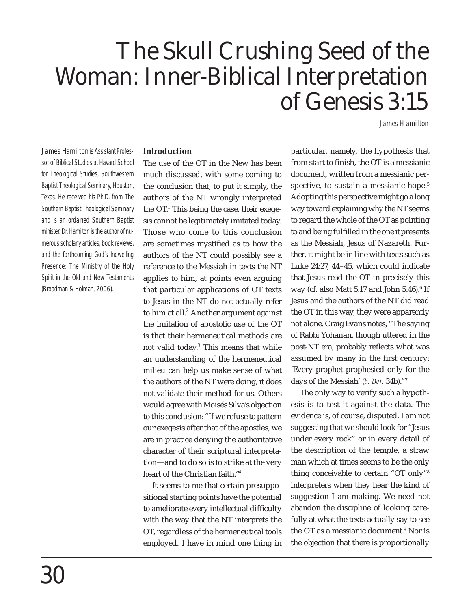# The Skull Crushing Seed of the Woman: Inner-Biblical Interpretation of Genesis 3:15

*James Hamilton* 

**James Hamilton** is Assistant Professor of Biblical Studies at Havard School for Theological Studies, Southwestern Baptist Theological Seminary, Houston, Texas. He received his Ph.D. from The Southern Baptist Theological Seminary and is an ordained Southern Baptist minister. Dr. Hamilton is the author of numerous scholarly articles, book reviews, and the forthcoming *God's Indwelling Presence: The Ministry of the Holy Spirit in the Old and New Testaments*  (Broadman & Holman, 2006).

#### **Introduction**

The use of the OT in the New has been much discussed, with some coming to the conclusion that, to put it simply, the authors of the NT wrongly interpreted the OT.<sup>1</sup> This being the case, their exegesis cannot be legitimately imitated today. Those who come to this conclusion are sometimes mystified as to how the authors of the NT could possibly see a reference to the Messiah in texts the NT applies to him, at points even arguing that particular applications of OT texts to Jesus in the NT do not actually refer to him at all. $2$  Another argument against the imitation of apostolic use of the OT is that their hermeneutical methods are not valid today.<sup>3</sup> This means that while an understanding of the hermeneutical milieu can help us make sense of what the authors of the NT were doing, it does not validate their method for us. Others would agree with Moisés Silva's objection to this conclusion: "If we refuse to pattern our exegesis after that of the apostles, we are in practice denying the authoritative character of their scriptural interpretation—and to do so is to strike at the very heart of the Christian faith."<sup>4</sup>

It seems to me that certain presuppositional starting points have the potential to ameliorate every intellectual difficulty with the way that the NT interprets the OT, regardless of the hermeneutical tools employed. I have in mind one thing in

particular, namely, the hypothesis that from start to finish, the OT is a messianic document, written from a messianic perspective, to sustain a messianic hope.<sup>5</sup> Adopting this perspective might go a long way toward explaining why the NT seems to regard the whole of the OT as pointing to and being fulfilled in the one it presents as the Messiah, Jesus of Nazareth. Further, it might be in line with texts such as Luke 24:27, 44–45, which could indicate that Jesus read the OT in precisely this way (cf. also Matt  $5:17$  and John  $5:46$ ). $^6$  If Jesus and the authors of the NT did read the OT in this way, they were apparently not alone. Craig Evans notes, "The saying of Rabbi Yohanan, though uttered in the post-NT era, probably reflects what was assumed by many in the first century: 'Every prophet prophesied only for the days of the Messiah' (*b. Ber*. 34b)."7

The only way to verify such a hypothesis is to test it against the data. The evidence is, of course, disputed. I am not suggesting that we should look for "Jesus under every rock" or in every detail of the description of the temple, a straw man which at times seems to be the only thing conceivable to certain "OT only"8 interpreters when they hear the kind of suggestion I am making. We need not abandon the discipline of looking carefully at what the texts actually say to see the OT as a messianic document.9 Nor is the objection that there is proportionally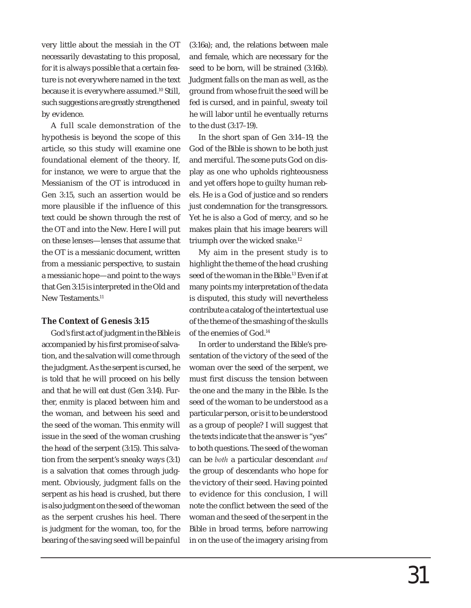very little about the messiah in the OT necessarily devastating to this proposal, for it is always possible that a certain feature is not everywhere named in the text because it is everywhere assumed.10 Still, such suggestions are greatly strengthened by evidence.

A full scale demonstration of the hypothesis is beyond the scope of this article, so this study will examine one foundational element of the theory. If, for instance, we were to argue that the Messianism of the OT is introduced in Gen 3:15, such an assertion would be more plausible if the influence of this text could be shown through the rest of the OT and into the New. Here I will put on these lenses—lenses that assume that the OT is a messianic document, written from a messianic perspective, to sustain a messianic hope—and point to the ways that Gen 3:15 is interpreted in the Old and New Testaments.<sup>11</sup>

## **The Context of Genesis 3:15**

God's first act of judgment in the Bible is accompanied by his first promise of salvation, and the salvation will come through the judgment. As the serpent is cursed, he is told that he will proceed on his belly and that he will eat dust (Gen 3:14). Further, enmity is placed between him and the woman, and between his seed and the seed of the woman. This enmity will issue in the seed of the woman crushing the head of the serpent (3:15). This salvation from the serpent's sneaky ways (3:1) is a salvation that comes through judgment. Obviously, judgment falls on the serpent as his head is crushed, but there is also judgment on the seed of the woman as the serpent crushes his heel. There is judgment for the woman, too, for the bearing of the saving seed will be painful

(3:16a); and, the relations between male and female, which are necessary for the seed to be born, will be strained (3:16b). Judgment falls on the man as well, as the ground from whose fruit the seed will be fed is cursed, and in painful, sweaty toil he will labor until he eventually returns to the dust (3:17–19).

In the short span of Gen 3:14–19, the God of the Bible is shown to be both just and merciful. The scene puts God on display as one who upholds righteousness and yet offers hope to guilty human rebels. He is a God of justice and so renders just condemnation for the transgressors. Yet he is also a God of mercy, and so he makes plain that his image bearers will triumph over the wicked snake.12

My aim in the present study is to highlight the theme of the head crushing seed of the woman in the Bible.<sup>13</sup> Even if at many points my interpretation of the data is disputed, this study will nevertheless contribute a catalog of the intertextual use of the theme of the smashing of the skulls of the enemies of God.14

In order to understand the Bible's presentation of the victory of the seed of the woman over the seed of the serpent, we must first discuss the tension between the one and the many in the Bible. Is the seed of the woman to be understood as a particular person, or is it to be understood as a group of people? I will suggest that the texts indicate that the answer is "yes" to both questions. The seed of the woman can be *both* a particular descendant *and* the group of descendants who hope for the victory of their seed. Having pointed to evidence for this conclusion, I will note the conflict between the seed of the woman and the seed of the serpent in the Bible in broad terms, before narrowing in on the use of the imagery arising from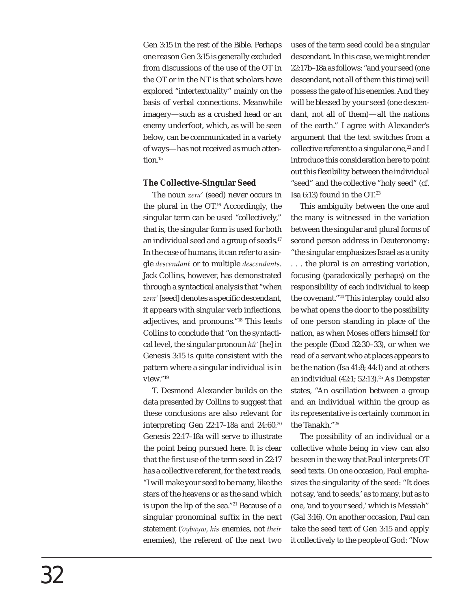Gen 3:15 in the rest of the Bible. Perhaps one reason Gen 3:15 is generally excluded from discussions of the use of the OT in the OT or in the NT is that scholars have explored "intertextuality" mainly on the basis of verbal connections. Meanwhile imagery—such as a crushed head or an enemy underfoot, which, as will be seen below, can be communicated in a variety of ways—has not received as much attention.<sup>15</sup>

## **The Collective-Singular Seed**

The noun *zera'* (seed) never occurs in the plural in the OT.16 Accordingly, the singular term can be used "collectively," that is, the singular form is used for both an individual seed and a group of seeds.17 In the case of humans, it can refer to a single *descendant* or to multiple *descendants*. Jack Collins, however, has demonstrated through a syntactical analysis that "when zera' [seed] denotes a specific descendant, it appears with singular verb inflections, adjectives, and pronouns."18 This leads Collins to conclude that "on the syntactical level, the singular pronoun *hû'* [he] in Genesis 3:15 is quite consistent with the pattern where a singular individual is in view."19

T. Desmond Alexander builds on the data presented by Collins to suggest that these conclusions are also relevant for interpreting Gen 22:17–18a and 24:60.20 Genesis 22:17–18a will serve to illustrate the point being pursued here. It is clear that the first use of the term seed in 22:17 has a collective referent, for the text reads, "I will make your seed to be many, like the stars of the heavens or as the sand which is upon the lip of the sea."21 Because of a singular pronominal suffix in the next statement (*'ōybāyw*, *his* enemies, not *their* enemies), the referent of the next two uses of the term seed could be a singular descendant. In this case, we might render 22:17b–18a as follows: "and your seed (one descendant, not all of them this time) will possess the gate of his enemies. And they will be blessed by your seed (one descendant, not all of them)—all the nations of the earth." I agree with Alexander's argument that the text switches from a collective referent to a singular one, $^{22}$  and I introduce this consideration here to point out this flexibility between the individual "seed" and the collective "holy seed" (cf. Isa 6:13) found in the OT.23

This ambiguity between the one and the many is witnessed in the variation between the singular and plural forms of second person address in Deuteronomy: "the singular emphasizes Israel as a unity . . . the plural is an arresting variation, focusing (paradoxically perhaps) on the responsibility of each individual to keep the covenant."24 This interplay could also be what opens the door to the possibility of one person standing in place of the nation, as when Moses offers himself for the people (Exod 32:30–33), or when we read of a servant who at places appears to be the nation (Isa 41:8; 44:1) and at others an individual (42:1; 52:13).<sup>25</sup> As Dempster states, "An oscillation between a group and an individual within the group as its representative is certainly common in the Tanakh."26

The possibility of an individual or a collective whole being in view can also be seen in the way that Paul interprets OT seed texts. On one occasion, Paul emphasizes the singularity of the seed: "It does not say, 'and to seeds,' as to many, but as to one, 'and to your seed,' which is Messiah" (Gal 3:16). On another occasion, Paul can take the seed text of Gen 3:15 and apply it collectively to the people of God: "Now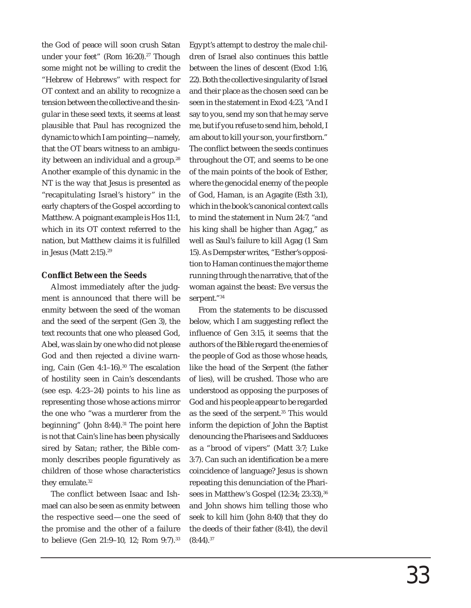the God of peace will soon crush Satan under your feet" (Rom 16:20).<sup>27</sup> Though some might not be willing to credit the "Hebrew of Hebrews" with respect for OT context and an ability to recognize a tension between the collective and the singular in these seed texts, it seems at least plausible that Paul has recognized the dynamic to which I am pointing—namely, that the OT bears witness to an ambiguity between an individual and a group.<sup>28</sup> Another example of this dynamic in the NT is the way that Jesus is presented as "recapitulating Israel's history" in the early chapters of the Gospel according to Matthew. A poignant example is Hos 11:1, which in its OT context referred to the nation, but Matthew claims it is fulfilled in Jesus (Matt 2:15).29

#### **Confl ict Between the Seeds**

Almost immediately after the judgment is announced that there will be enmity between the seed of the woman and the seed of the serpent (Gen 3), the text recounts that one who pleased God, Abel, was slain by one who did not please God and then rejected a divine warning, Cain (Gen 4:1-16).<sup>30</sup> The escalation of hostility seen in Cain's descendants (see esp. 4:23–24) points to his line as representing those whose actions mirror the one who "was a murderer from the beginning" (John 8:44). $31$  The point here is not that Cain's line has been physically sired by Satan; rather, the Bible commonly describes people figuratively as children of those whose characteristics they emulate.<sup>32</sup>

The conflict between Isaac and Ishmael can also be seen as enmity between the respective seed—one the seed of the promise and the other of a failure to believe (Gen 21:9–10, 12; Rom 9:7).33 Egypt's attempt to destroy the male children of Israel also continues this battle between the lines of descent (Exod 1:16, 22). Both the collective singularity of Israel and their place as the chosen seed can be seen in the statement in Exod 4:23, "And I say to you, send my son that he may serve me, but if you refuse to send him, behold, I am about to kill your son, your firstborn." The conflict between the seeds continues throughout the OT, and seems to be one of the main points of the book of Esther, where the genocidal enemy of the people of God, Haman, is an Agagite (Esth 3:1), which in the book's canonical context calls to mind the statement in Num 24:7, "and his king shall be higher than Agag," as well as Saul's failure to kill Agag (1 Sam 15). As Dempster writes, "Esther's opposition to Haman continues the major theme running through the narrative, that of the woman against the beast: Eve versus the serpent."34

From the statements to be discussed below, which I am suggesting reflect the influence of Gen 3:15, it seems that the authors of the Bible regard the enemies of the people of God as those whose heads, like the head of the Serpent (the father of lies), will be crushed. Those who are understood as opposing the purposes of God and his people appear to be regarded as the seed of the serpent.<sup>35</sup> This would inform the depiction of John the Baptist denouncing the Pharisees and Sadducees as a "brood of vipers" (Matt 3:7; Luke 3:7). Can such an identification be a mere coincidence of language? Jesus is shown repeating this denunciation of the Pharisees in Matthew's Gospel (12:34; 23:33),<sup>36</sup> and John shows him telling those who seek to kill him (John 8:40) that they do the deeds of their father (8:41), the devil  $(8:44).^{37}$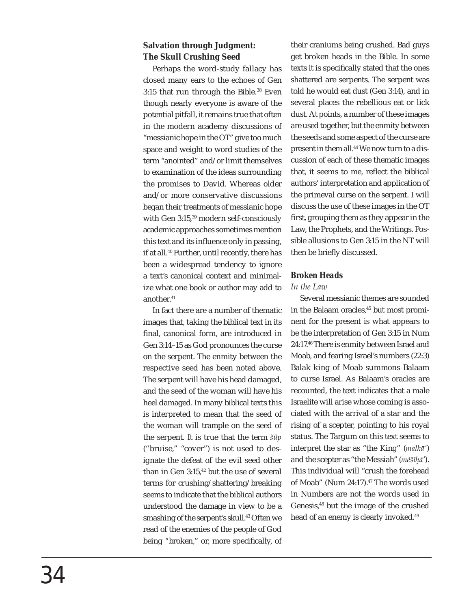# **Salvation through Judgment: The Skull Crushing Seed**

Perhaps the word-study fallacy has closed many ears to the echoes of Gen 3:15 that run through the Bible.38 Even though nearly everyone is aware of the potential pitfall, it remains true that often in the modern academy discussions of "messianic hope in the OT" give too much space and weight to word studies of the term "anointed" and/or limit themselves to examination of the ideas surrounding the promises to David. Whereas older and/or more conservative discussions began their treatments of messianic hope with Gen 3:15,39 modern self-consciously academic approaches sometimes mention this text and its influence only in passing, if at all.40 Further, until recently, there has been a widespread tendency to ignore a text's canonical context and minimalize what one book or author may add to another.41

In fact there are a number of thematic images that, taking the biblical text in its final, canonical form, are introduced in Gen 3:14–15 as God pronounces the curse on the serpent. The enmity between the respective seed has been noted above. The serpent will have his head damaged, and the seed of the woman will have his heel damaged. In many biblical texts this is interpreted to mean that the seed of the woman will trample on the seed of the serpent. It is true that the term *šûp*  ("bruise," "cover") is not used to designate the defeat of the evil seed other than in Gen 3:15,<sup>42</sup> but the use of several terms for crushing/shattering/breaking seems to indicate that the biblical authors understood the damage in view to be a smashing of the serpent's skull.<sup>43</sup> Often we read of the enemies of the people of God being "broken," or, more specifically, of their craniums being crushed. Bad guys get broken heads in the Bible. In some texts it is specifically stated that the ones shattered are serpents. The serpent was told he would eat dust (Gen 3:14), and in several places the rebellious eat or lick dust. At points, a number of these images are used together, but the enmity between the seeds and some aspect of the curse are present in them all.44 We now turn to a discussion of each of these thematic images that, it seems to me, reflect the biblical authors' interpretation and application of the primeval curse on the serpent. I will discuss the use of these images in the OT first, grouping them as they appear in the Law, the Prophets, and the Writings. Possible allusions to Gen 3:15 in the NT will then be briefly discussed.

## *Broken Heads*

### *In the Law*

Several messianic themes are sounded in the Balaam oracles,<sup>45</sup> but most prominent for the present is what appears to be the interpretation of Gen 3:15 in Num 24:17.46 There is enmity between Israel and Moab, and fearing Israel's numbers (22:3) Balak king of Moab summons Balaam to curse Israel. As Balaam's oracles are recounted, the text indicates that a male Israelite will arise whose coming is associated with the arrival of a star and the rising of a scepter, pointing to his royal status. The Targum on this text seems to interpret the star as "the King" (*malkā'*) and the scepter as "the Messiah" (*měšîhā*'). .This individual will "crush the forehead of Moab" (Num 24:17).<sup>47</sup> The words used in Numbers are not the words used in Genesis,<sup>48</sup> but the image of the crushed head of an enemy is clearly invoked.<sup>49</sup>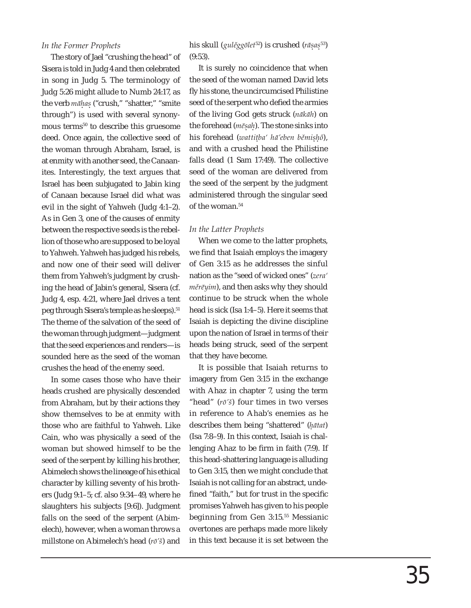#### *In the Former Prophets*

The story of Jael "crushing the head" of Sisera is told in Judg 4 and then celebrated in song in Judg 5. The terminology of Judg 5:26 might allude to Numb 24:17, as the verb *māhas* ("crush," "shatter," "smite . . through") is used with several synonymous terms<sup>50</sup> to describe this gruesome deed. Once again, the collective seed of the woman through Abraham, Israel, is at enmity with another seed, the Canaanites. Interestingly, the text argues that Israel has been subjugated to Jabin king of Canaan because Israel did what was evil in the sight of Yahweh (Judg 4:1–2). As in Gen 3, one of the causes of enmity between the respective seeds is the rebellion of those who are supposed to be loyal to Yahweh. Yahweh has judged his rebels, and now one of their seed will deliver them from Yahweh's judgment by crushing the head of Jabin's general, Sisera (cf. Judg 4, esp. 4:21, where Jael drives a tent peg through Sisera's temple as he sleeps).<sup>51</sup> The theme of the salvation of the seed of the woman through judgment—judgment that the seed experiences and renders—is sounded here as the seed of the woman crushes the head of the enemy seed.

In some cases those who have their heads crushed are physically descended from Abraham, but by their actions they show themselves to be at enmity with those who are faithful to Yahweh. Like Cain, who was physically a seed of the woman but showed himself to be the seed of the serpent by killing his brother, Abimelech shows the lineage of his ethical character by killing seventy of his brothers (Judg 9:1–5; cf. also 9:34–49, where he slaughters his subjects [9:6]). Judgment falls on the seed of the serpent (Abimelech), however, when a woman throws a millstone on Abimelech's head (*rō'š*) and

his skull (*gulěggōlet*52) is crushed (*rāsas*53) . . (9:53).

It is surely no coincidence that when the seed of the woman named David lets fly his stone, the uncircumcised Philistine seed of the serpent who defied the armies of the living God gets struck (*nākāh*) on the forehead (*mēsah*). The stone sinks into . . his forehead (*wattitba' hā'eben běmishô*), . . . and with a crushed head the Philistine falls dead (1 Sam 17:49). The collective seed of the woman are delivered from the seed of the serpent by the judgment administered through the singular seed of the woman.<sup>54</sup>

#### *In the Latter Prophets*

When we come to the latter prophets, we find that Isaiah employs the imagery of Gen 3:15 as he addresses the sinful nation as the "seed of wicked ones" (*zera' měrēyim*), and then asks why they should continue to be struck when the whole head is sick (Isa 1:4–5). Here it seems that Isaiah is depicting the divine discipline upon the nation of Israel in terms of their heads being struck, seed of the serpent that they have become.

It is possible that Isaiah returns to imagery from Gen 3:15 in the exchange with Ahaz in chapter 7, using the term "head" (*rō'š*) four times in two verses in reference to Ahab's enemies as he describes them being "shattered" (*hātat*) .(Isa 7:8–9). In this context, Isaiah is challenging Ahaz to be firm in faith (7:9). If this head-shattering language is alluding to Gen 3:15, then we might conclude that Isaiah is not calling for an abstract, undefined "faith," but for trust in the specific promises Yahweh has given to his people beginning from Gen 3:15.<sup>55</sup> Messianic overtones are perhaps made more likely in this text because it is set between the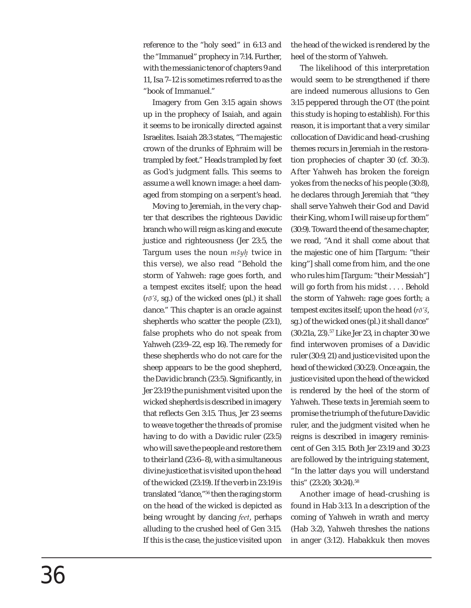reference to the "holy seed" in 6:13 and the "Immanuel" prophecy in 7:14. Further, with the messianic tenor of chapters 9 and 11, Isa 7–12 is sometimes referred to as the "book of Immanuel."

Imagery from Gen 3:15 again shows up in the prophecy of Isaiah, and again it seems to be ironically directed against Israelites. Isaiah 28:3 states, "The majestic crown of the drunks of Ephraim will be trampled by feet." Heads trampled by feet as God's judgment falls. This seems to assume a well known image: a heel damaged from stomping on a serpent's head.

Moving to Jeremiah, in the very chapter that describes the righteous Davidic branch who will reign as king and execute justice and righteousness (Jer 23:5, the Targum uses the noun *mšyh* twice in .this verse), we also read "Behold the storm of Yahweh: rage goes forth, and a tempest excites itself; upon the head (*rō'š*, sg.) of the wicked ones (pl.) it shall dance." This chapter is an oracle against shepherds who scatter the people (23:1), false prophets who do not speak from Yahweh (23:9–22, esp 16). The remedy for these shepherds who do not care for the sheep appears to be the good shepherd, the Davidic branch (23:5). Significantly, in Jer 23:19 the punishment visited upon the wicked shepherds is described in imagery that reflects Gen 3:15. Thus, Jer 23 seems to weave together the threads of promise having to do with a Davidic ruler (23:5) who will save the people and restore them to their land (23:6–8), with a simultaneous divine justice that is visited upon the head of the wicked (23:19). If the verb in 23:19 is translated "dance,"56 then the raging storm on the head of the wicked is depicted as being wrought by dancing *feet*, perhaps alluding to the crushed heel of Gen 3:15. If this is the case, the justice visited upon

the head of the wicked is rendered by the heel of the storm of Yahweh.

The likelihood of this interpretation would seem to be strengthened if there are indeed numerous allusions to Gen 3:15 peppered through the OT (the point this study is hoping to establish). For this reason, it is important that a very similar collocation of Davidic and head-crushing themes recurs in Jeremiah in the restoration prophecies of chapter 30 (cf. 30:3). After Yahweh has broken the foreign yokes from the necks of his people (30:8), he declares through Jeremiah that "they shall serve Yahweh their God and David their King, whom I will raise up for them" (30:9). Toward the end of the same chapter, we read, "And it shall come about that the majestic one of him [Targum: "their king"] shall come from him, and the one who rules him [Targum: "their Messiah"] will go forth from his midst . . . . Behold the storm of Yahweh: rage goes forth; a tempest excites itself; upon the head (*rō'š*, sg.) of the wicked ones (pl.) it shall dance" (30:21a, 23).57 Like Jer 23, in chapter 30 we find interwoven promises of a Davidic ruler (30:9, 21) and justice visited upon the head of the wicked (30:23). Once again, the justice visited upon the head of the wicked is rendered by the heel of the storm of Yahweh. These texts in Jeremiah seem to promise the triumph of the future Davidic ruler, and the judgment visited when he reigns is described in imagery reminiscent of Gen 3:15. Both Jer 23:19 and 30:23 are followed by the intriguing statement, "In the latter days you will understand this" (23:20; 30:24).<sup>58</sup>

Another image of head-crushing is found in Hab 3:13. In a description of the coming of Yahweh in wrath and mercy (Hab 3:2), Yahweh threshes the nations in anger (3:12). Habakkuk then moves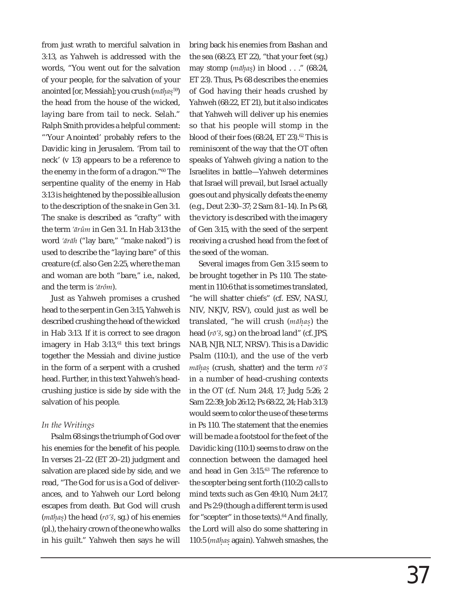from just wrath to merciful salvation in 3:13, as Yahweh is addressed with the words, "You went out for the salvation of your people, for the salvation of your anointed [or, Messiah]; you crush (*māhas*59) . . the head from the house of the wicked, laying bare from tail to neck. Selah." Ralph Smith provides a helpful comment: "'Your Anointed' probably refers to the Davidic king in Jerusalem. 'From tail to neck' (v 13) appears to be a reference to the enemy in the form of a dragon."60 The serpentine quality of the enemy in Hab 3:13 is heightened by the possible allusion to the description of the snake in Gen 3:1. The snake is described as "crafty" with the term *'ārûm* in Gen 3:1. In Hab 3:13 the word *'ārāh* ("lay bare," "make naked") is used to describe the "laying bare" of this creature (cf. also Gen 2:25, where the man and woman are both "bare," i.e., naked, and the term is *'ārôm*).

Just as Yahweh promises a crushed head to the serpent in Gen 3:15, Yahweh is described crushing the head of the wicked in Hab 3:13. If it is correct to see dragon imagery in Hab  $3:13$ ,  $61$  this text brings together the Messiah and divine justice in the form of a serpent with a crushed head. Further, in this text Yahweh's headcrushing justice is side by side with the salvation of his people.

## *In the Writings*

Psalm 68 sings the triumph of God over his enemies for the benefit of his people. In verses 21–22 (ET 20–21) judgment and salvation are placed side by side, and we read, "The God for us is a God of deliverances, and to Yahweh our Lord belong escapes from death. But God will crush (*māhas*) the head (*rō'š*, sg.) of his enemies . . (pl.), the hairy crown of the one who walks in his guilt." Yahweh then says he will

bring back his enemies from Bashan and the sea (68:23, ET 22), "that your feet (sg.) may stomp (*māhas*) in blood . . ." (68:24, . . ET 23). Thus, Ps 68 describes the enemies of God having their heads crushed by Yahweh (68:22, ET 21), but it also indicates that Yahweh will deliver up his enemies so that his people will stomp in the blood of their foes  $(68:24, ET 23).<sup>62</sup>$  This is reminiscent of the way that the OT often speaks of Yahweh giving a nation to the Israelites in battle—Yahweh determines that Israel will prevail, but Israel actually goes out and physically defeats the enemy (e.g., Deut 2:30–37; 2 Sam 8:1–14). In Ps 68, the victory is described with the imagery of Gen 3:15, with the seed of the serpent receiving a crushed head from the feet of the seed of the woman.

Several images from Gen 3:15 seem to be brought together in Ps 110. The statement in 110:6 that is sometimes translated, "he will shatter chiefs" (cf. ESV, NASU, NIV, NKJV, RSV), could just as well be translated, "he will crush (*māhas*) the . . head (*rō'š*, sg.) on the broad land" (cf. JPS, NAB, NJB, NLT, NRSV). This is a Davidic Psalm (110:1), and the use of the verb *māhas* (crush, shatter) and the term *rō'š* . . in a number of head-crushing contexts in the OT (cf. Num 24:8, 17; Judg 5:26; 2 Sam 22:39; Job 26:12; Ps 68:22, 24; Hab 3:13) would seem to color the use of these terms in Ps 110. The statement that the enemies will be made a footstool for the feet of the Davidic king (110:1) seems to draw on the connection between the damaged heel and head in Gen 3:15.63 The reference to the scepter being sent forth (110:2) calls to mind texts such as Gen 49:10, Num 24:17, and Ps 2:9 (though a different term is used for "scepter" in those texts). $64$  And finally, the Lord will also do some shattering in 110:5 (*māhas* again). Yahweh smashes, the . .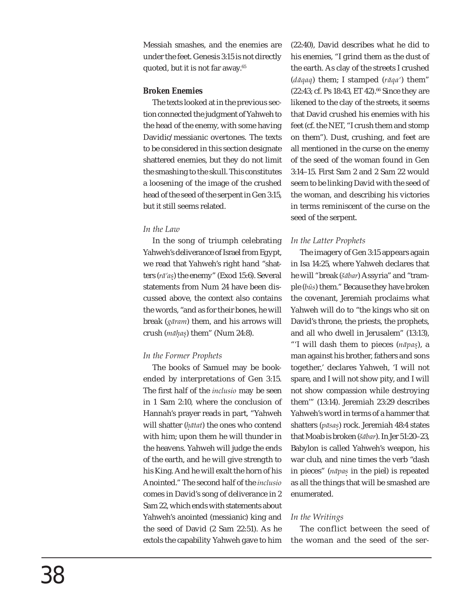Messiah smashes, and the enemies are under the feet. Genesis 3:15 is not directly quoted, but it is not far away.<sup>65</sup>

## *Broken Enemies*

The texts looked at in the previous section connected the judgment of Yahweh to the head of the enemy, with some having Davidic/messianic overtones. The texts to be considered in this section designate shattered enemies, but they do not limit the smashing to the skull. This constitutes a loosening of the image of the crushed head of the seed of the serpent in Gen 3:15, but it still seems related.

# *In the Law*

In the song of triumph celebrating Yahweh's deliverance of Israel from Egypt, we read that Yahweh's right hand "shatters (*rā'as*) the enemy" (Exod 15:6). Several . statements from Num 24 have been discussed above, the context also contains the words, "and as for their bones, he will break (*gāram*) them, and his arrows will crush (*māhas*) them" (Num 24:8). . .

# *In the Former Prophets*

The books of Samuel may be bookended by interpretations of Gen 3:15. The first half of the *inclusio* may be seen in 1 Sam 2:10, where the conclusion of Hannah's prayer reads in part, "Yahweh will shatter (*hātat*) the ones who contend . with him; upon them he will thunder in the heavens. Yahweh will judge the ends of the earth, and he will give strength to his King. And he will exalt the horn of his Anointed." The second half of the *inclusio* comes in David's song of deliverance in 2 Sam 22, which ends with statements about Yahweh's anointed (messianic) king and the seed of David (2 Sam 22:51). As he extols the capability Yahweh gave to him

(22:40), David describes what he did to his enemies, "I grind them as the dust of the earth. As clay of the streets I crushed (*dāqaq*) them; I stamped (*rāqa'*) them"  $(22:43; cf. Ps 18:43, ET 42).$ <sup>66</sup> Since they are likened to the clay of the streets, it seems that David crushed his enemies with his feet (cf. the NET, "I crush them and stomp on them"). Dust, crushing, and feet are all mentioned in the curse on the enemy of the seed of the woman found in Gen 3:14–15. First Sam 2 and 2 Sam 22 would seem to be linking David with the seed of the woman, and describing his victories in terms reminiscent of the curse on the seed of the serpent.

# *In the Latter Prophets*

The imagery of Gen 3:15 appears again in Isa 14:25, where Yahweh declares that he will "break (*šābar*) Assyria" and "trample (*bûs*) them." Because they have broken the covenant, Jeremiah proclaims what Yahweh will do to "the kings who sit on David's throne, the priests, the prophets, and all who dwell in Jerusalem" (13:13), "'I will dash them to pieces (*nāpas*), a . man against his brother, fathers and sons together,' declares Yahweh, 'I will not spare, and I will not show pity, and I will not show compassion while destroying them'" (13:14). Jeremiah 23:29 describes Yahweh's word in terms of a hammer that shatters (*pāsas*) rock. Jeremiah 48:4 states . that Moab is broken (*šābar*). In Jer 51:20–23, Babylon is called Yahweh's weapon, his war club, and nine times the verb "dash in pieces" (*nāpas* in the piel) is repeated .as all the things that will be smashed are enumerated.

# *In the Writings*

The conflict between the seed of the woman and the seed of the ser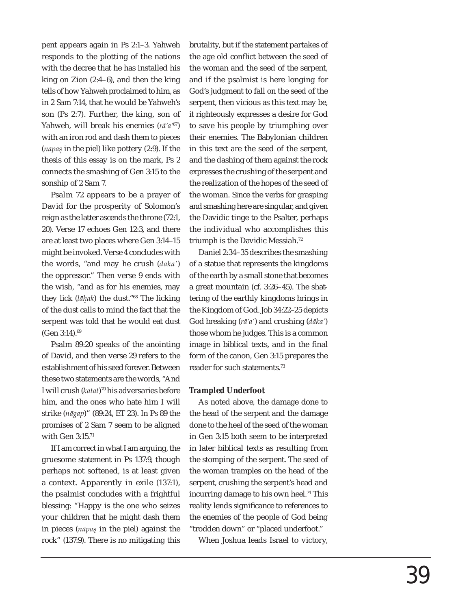pent appears again in Ps 2:1–3. Yahweh responds to the plotting of the nations with the decree that he has installed his king on Zion (2:4–6), and then the king tells of how Yahweh proclaimed to him, as in 2 Sam 7:14, that he would be Yahweh's son (Ps 2:7). Further, the king, son of Yahweh, will break his enemies (*rā'a'*67) with an iron rod and dash them to pieces (*nāpas* in the piel) like pottery (2:9). If the . thesis of this essay is on the mark, Ps 2 connects the smashing of Gen 3:15 to the sonship of 2 Sam 7.

Psalm 72 appears to be a prayer of David for the prosperity of Solomon's reign as the latter ascends the throne (72:1, 20). Verse 17 echoes Gen 12:3, and there are at least two places where Gen 3:14–15 might be invoked. Verse 4 concludes with the words, "and may he crush (*dākā'*) the oppressor." Then verse 9 ends with the wish, "and as for his enemies, may they lick (*lāhak*) the dust."68 The licking . of the dust calls to mind the fact that the serpent was told that he would eat dust (Gen 3:14).69

Psalm 89:20 speaks of the anointing of David, and then verse 29 refers to the establishment of his seed forever. Between these two statements are the words, "And I will crush (*kātat*)70 his adversaries before him, and the ones who hate him I will strike (*nāgap*)" (89:24, ET 23). In Ps 89 the promises of 2 Sam 7 seem to be aligned with Gen 3:15.71

If I am correct in what I am arguing, the gruesome statement in Ps 137:9, though perhaps not softened, is at least given a context. Apparently in exile (137:1), the psalmist concludes with a frightful blessing: "Happy is the one who seizes your children that he might dash them in pieces (*nāpas* in the piel) against the .rock" (137:9). There is no mitigating this

brutality, but if the statement partakes of the age old conflict between the seed of the woman and the seed of the serpent, and if the psalmist is here longing for God's judgment to fall on the seed of the serpent, then vicious as this text may be, it righteously expresses a desire for God to save his people by triumphing over their enemies. The Babylonian children in this text are the seed of the serpent, and the dashing of them against the rock expresses the crushing of the serpent and the realization of the hopes of the seed of the woman. Since the verbs for grasping and smashing here are singular, and given the Davidic tinge to the Psalter, perhaps the individual who accomplishes this triumph is the Davidic Messiah.<sup>72</sup>

Daniel 2:34–35 describes the smashing of a statue that represents the kingdoms of the earth by a small stone that becomes a great mountain (cf. 3:26–45). The shattering of the earthly kingdoms brings in the Kingdom of God. Job 34:22–25 depicts God breaking (*rā'a'*) and crushing (*dāka'*) those whom he judges. This is a common image in biblical texts, and in the final form of the canon, Gen 3:15 prepares the reader for such statements.73

#### *Trampled Underfoot*

As noted above, the damage done to the head of the serpent and the damage done to the heel of the seed of the woman in Gen 3:15 both seem to be interpreted in later biblical texts as resulting from the stomping of the serpent. The seed of the woman tramples on the head of the serpent, crushing the serpent's head and incurring damage to his own heel.<sup>74</sup> This reality lends significance to references to the enemies of the people of God being "trodden down" or "placed underfoot."

When Joshua leads Israel to victory,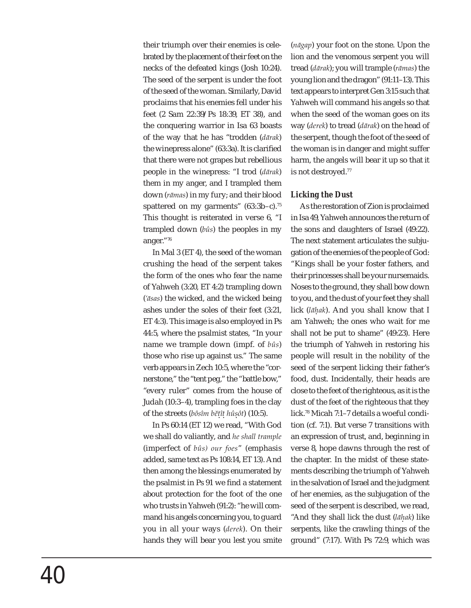their triumph over their enemies is celebrated by the placement of their feet on the necks of the defeated kings (Josh 10:24). The seed of the serpent is under the foot of the seed of the woman. Similarly, David proclaims that his enemies fell under his feet (2 Sam 22:39/Ps 18:39, ET 38), and the conquering warrior in Isa 63 boasts of the way that he has "trodden (*dārak*) the winepress alone" (63:3a). It is clarified that there were not grapes but rebellious people in the winepress: "I trod (*dārak*) them in my anger, and I trampled them down (*rāmas*) in my fury; and their blood spattered on my garments"  $(63:3b-c)^{75}$ This thought is reiterated in verse 6, "I trampled down (*bûs*) the peoples in my anger."76

In Mal 3 (ET 4), the seed of the woman crushing the head of the serpent takes the form of the ones who fear the name of Yahweh (3:20, ET 4:2) trampling down (*'āsas*) the wicked, and the wicked being ashes under the soles of their feet (3:21, ET 4:3). This image is also employed in Ps 44:5, where the psalmist states, "In your name we trample down (impf. of *bûs*) those who rise up against us." The same verb appears in Zech 10:5, where the "cornerstone," the "tent peg," the "battle bow," "every ruler" comes from the house of Judah (10:3–4), trampling foes in the clay of the streets (*bôsîm bĕtît hûsôt*) (10:5). . . .

In Ps 60:14 (ET 12) we read, "With God we shall do valiantly, and *he shall trample* (imperfect of *bûs) our foes*" (emphasis added, same text as Ps 108:14, ET 13). And then among the blessings enumerated by the psalmist in Ps 91 we find a statement about protection for the foot of the one who trusts in Yahweh (91:2): "he will command his angels concerning you, to guard you in all your ways (*derek*). On their hands they will bear you lest you smite

(*nāgap*) your foot on the stone. Upon the lion and the venomous serpent you will tread (*dārak*); you will trample (*rāmas*) the young lion and the dragon" (91:11–13). This text appears to interpret Gen 3:15 such that Yahweh will command his angels so that when the seed of the woman goes on its way (*derek*) to tread (*dārak*) on the head of the serpent, though the foot of the seed of the woman is in danger and might suffer harm, the angels will bear it up so that it is not destroyed.77

## *Licking the Dust*

As the restoration of Zion is proclaimed in Isa 49, Yahweh announces the return of the sons and daughters of Israel (49:22). The next statement articulates the subjugation of the enemies of the people of God: "Kings shall be your foster fathers, and their princesses shall be your nursemaids. Noses to the ground, they shall bow down to you, and the dust of your feet they shall lick (*lāhak*). And you shall know that I . am Yahweh; the ones who wait for me shall not be put to shame" (49:23). Here the triumph of Yahweh in restoring his people will result in the nobility of the seed of the serpent licking their father's food, dust. Incidentally, their heads are close to the feet of the righteous, as it is the dust of the feet of the righteous that they lick.78 Micah 7:1–7 details a woeful condition (cf. 7:1). But verse 7 transitions with an expression of trust, and, beginning in verse 8, hope dawns through the rest of the chapter. In the midst of these statements describing the triumph of Yahweh in the salvation of Israel and the judgment of her enemies, as the subjugation of the seed of the serpent is described, we read, "And they shall lick the dust (*lāhak*) like .serpents, like the crawling things of the ground" (7:17). With Ps 72:9, which was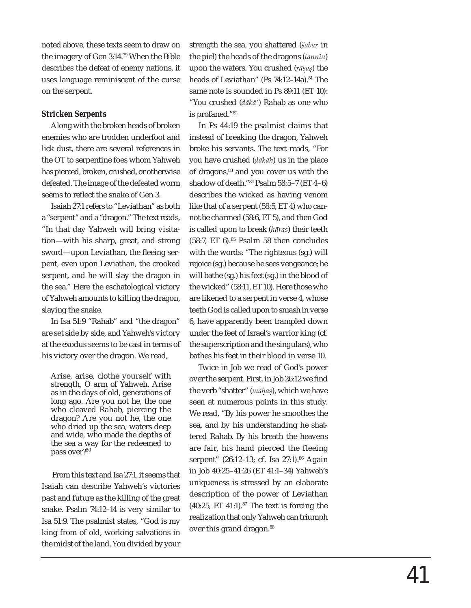noted above, these texts seem to draw on the imagery of Gen 3:14.79 When the Bible describes the defeat of enemy nations, it uses language reminiscent of the curse on the serpent.

# *Stricken Serpents*

Along with the broken heads of broken enemies who are trodden underfoot and lick dust, there are several references in the OT to serpentine foes whom Yahweh has pierced, broken, crushed, or otherwise defeated. The image of the defeated worm seems to reflect the snake of Gen 3.

Isaiah 27:1 refers to "Leviathan" as both a "serpent" and a "dragon." The text reads, "In that day Yahweh will bring visitation—with his sharp, great, and strong sword—upon Leviathan, the fleeing serpent, even upon Leviathan, the crooked serpent, and he will slay the dragon in the sea." Here the eschatological victory of Yahweh amounts to killing the dragon, slaying the snake.

In Isa 51:9 "Rahab" and "the dragon" are set side by side, and Yahweh's victory at the exodus seems to be cast in terms of his victory over the dragon. We read,

Arise, arise, clothe yourself with strength, O arm of Yahweh. Arise as in the days of old, generations of long ago. Are you not he, the one who cleaved Rahab, piercing the dragon? Are you not he, the one who dried up the sea, waters deep and wide, who made the depths of the sea a way for the redeemed to pass over?<sup>80</sup>

 From this text and Isa 27:1, it seems that Isaiah can describe Yahweh's victories past and future as the killing of the great snake. Psalm 74:12–14 is very similar to Isa 51:9. The psalmist states, "God is my king from of old, working salvations in the midst of the land. You divided by your strength the sea, you shattered (*šābar* in the piel) the heads of the dragons (*tannîn*) upon the waters. You crushed (*rāsas*) the . . heads of Leviathan" (Ps 74:12-14a).<sup>81</sup> The same note is sounded in Ps 89:11 (ET 10): "You crushed (*dākā'*) Rahab as one who is profaned."82

In Ps 44:19 the psalmist claims that instead of breaking the dragon, Yahweh broke his servants. The text reads, "For you have crushed (*dākāh*) us in the place of dragons,83 and you cover us with the shadow of death."84 Psalm 58:5–7 (ET 4–6) describes the wicked as having venom like that of a serpent (58:5, ET 4) who cannot be charmed (58:6, ET 5), and then God is called upon to break (*hāras*) their teeth  $(58:7, ET 6).$ <sup>85</sup> Psalm 58 then concludes with the words: "The righteous (sg.) will rejoice (sg.) because he sees vengeance; he will bathe (sg.) his feet (sg.) in the blood of the wicked" (58:11, ET 10). Here those who are likened to a serpent in verse 4, whose teeth God is called upon to smash in verse 6, have apparently been trampled down under the feet of Israel's warrior king (cf. the superscription and the singulars), who bathes his feet in their blood in verse 10.

Twice in Job we read of God's power over the serpent. First, in Job 26:12 we find the verb "shatter" (*māhas*), which we have . .seen at numerous points in this study. We read, "By his power he smoothes the sea, and by his understanding he shattered Rahab. By his breath the heavens are fair, his hand pierced the fleeing serpent" (26:12-13; cf. Isa 27:1).<sup>86</sup> Again in Job 40:25–41:26 (ET 41:1–34) Yahweh's uniqueness is stressed by an elaborate description of the power of Leviathan  $(40:25, ET 41:1).$ <sup>87</sup> The text is forcing the realization that only Yahweh can triumph over this grand dragon.<sup>88</sup>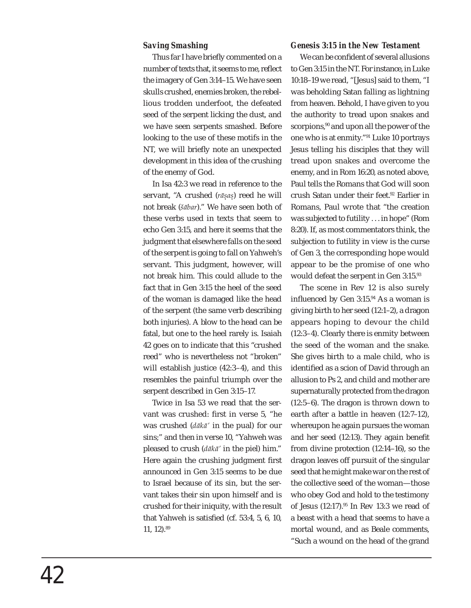## *Saving Smashing*

Thus far I have briefly commented on a number of texts that, it seems to me, reflect the imagery of Gen 3:14–15. We have seen skulls crushed, enemies broken, the rebellious trodden underfoot, the defeated seed of the serpent licking the dust, and we have seen serpents smashed. Before looking to the use of these motifs in the NT, we will briefly note an unexpected development in this idea of the crushing of the enemy of God.

In Isa 42:3 we read in reference to the servant, "A crushed (*rāsas*) reed he will . .not break (*šābar*)." We have seen both of these verbs used in texts that seem to echo Gen 3:15, and here it seems that the judgment that elsewhere falls on the seed of the serpent is going to fall on Yahweh's servant. This judgment, however, will not break him. This could allude to the fact that in Gen 3:15 the heel of the seed of the woman is damaged like the head of the serpent (the same verb describing both injuries). A blow to the head can be fatal, but one to the heel rarely is. Isaiah 42 goes on to indicate that this "crushed reed" who is nevertheless not "broken" will establish justice (42:3–4), and this resembles the painful triumph over the serpent described in Gen 3:15–17.

Twice in Isa 53 we read that the servant was crushed: first in verse 5, "he was crushed (*dākā'* in the pual) for our sins;" and then in verse 10, "Yahweh was pleased to crush (*dākā'* in the piel) him." Here again the crushing judgment first announced in Gen 3:15 seems to be due to Israel because of its sin, but the servant takes their sin upon himself and is crushed for their iniquity, with the result that Yahweh is satisfied (cf.  $53:4, 5, 6, 10$ , 11, 12).89

#### *Genesis 3:15 in the New Testament*

We can be confident of several allusions to Gen 3:15 in the NT. For instance, in Luke 10:18–19 we read, "[Jesus] said to them, "I was beholding Satan falling as lightning from heaven. Behold, I have given to you the authority to tread upon snakes and scorpions,<sup>90</sup> and upon all the power of the one who is at enmity."91 Luke 10 portrays Jesus telling his disciples that they will tread upon snakes and overcome the enemy, and in Rom 16:20, as noted above, Paul tells the Romans that God will soon crush Satan under their feet.92 Earlier in Romans, Paul wrote that "the creation was subjected to futility . . . in hope" (Rom 8:20). If, as most commentators think, the subjection to futility in view is the curse of Gen 3, the corresponding hope would appear to be the promise of one who would defeat the serpent in Gen 3:15.93

The scene in Rev 12 is also surely influenced by Gen  $3:15.^{94}$  As a woman is giving birth to her seed (12:1–2), a dragon appears hoping to devour the child (12:3–4). Clearly there is enmity between the seed of the woman and the snake. She gives birth to a male child, who is identified as a scion of David through an allusion to Ps 2, and child and mother are supernaturally protected from the dragon (12:5–6). The dragon is thrown down to earth after a battle in heaven (12:7–12), whereupon he again pursues the woman and her seed (12:13). They again benefit from divine protection (12:14–16), so the dragon leaves off pursuit of the singular seed that he might make war on the rest of the collective seed of the woman—those who obey God and hold to the testimony of Jesus (12:17).95 In Rev 13:3 we read of a beast with a head that seems to have a mortal wound, and as Beale comments, "Such a wound on the head of the grand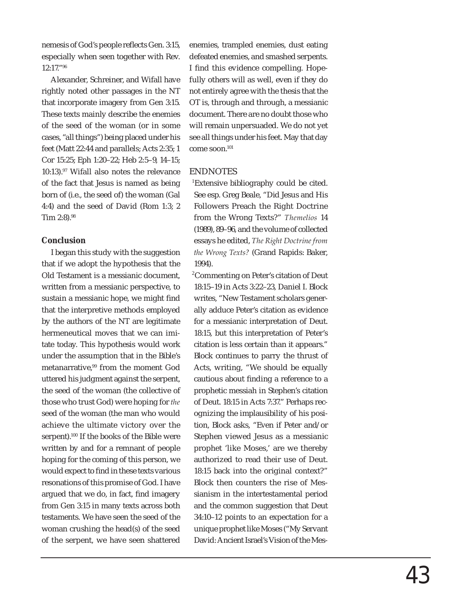nemesis of God's people reflects Gen. 3:15, especially when seen together with Rev. 12:17."96

Alexander, Schreiner, and Wifall have rightly noted other passages in the NT that incorporate imagery from Gen 3:15. These texts mainly describe the enemies of the seed of the woman (or in some cases, "all things") being placed under his feet (Matt 22:44 and parallels; Acts 2:35; 1 Cor 15:25; Eph 1:20–22; Heb 2:5–9, 14–15; 10:13).97 Wifall also notes the relevance of the fact that Jesus is named as being born of (i.e., the seed of) the woman (Gal 4:4) and the seed of David (Rom 1:3; 2 Tim 2:8).98

# **Conclusion**

I began this study with the suggestion that if we adopt the hypothesis that the Old Testament is a messianic document, written from a messianic perspective, to sustain a messianic hope, we might find that the interpretive methods employed by the authors of the NT are legitimate hermeneutical moves that we can imitate today. This hypothesis would work under the assumption that in the Bible's metanarrative,<sup>99</sup> from the moment God uttered his judgment against the serpent, the seed of the woman (the collective of those who trust God) were hoping for *the*  seed of the woman (the man who would achieve the ultimate victory over the serpent).100 If the books of the Bible were written by and for a remnant of people hoping for the coming of this person, we would expect to find in these texts various resonations of this promise of God. I have argued that we do, in fact, find imagery from Gen 3:15 in many texts across both testaments. We have seen the seed of the woman crushing the head(s) of the seed of the serpent, we have seen shattered

enemies, trampled enemies, dust eating defeated enemies, and smashed serpents. I find this evidence compelling. Hopefully others will as well, even if they do not entirely agree with the thesis that the OT is, through and through, a messianic document. There are no doubt those who will remain unpersuaded. We do not yet see all things under his feet. May that day come soon.101

# ENDNOTES

<sup>1</sup>Extensive bibliography could be cited. See esp. Greg Beale, "Did Jesus and His Followers Preach the Right Doctrine from the Wrong Texts?" *Themelios* 14 (1989), 89–96, and the volume of collected essays he edited, *The Right Doctrine from the Wrong Texts?* (Grand Rapids: Baker, 1994).

<sup>2</sup>Commenting on Peter's citation of Deut 18:15–19 in Acts 3:22–23, Daniel I. Block writes, "New Testament scholars generally adduce Peter's citation as evidence for a messianic interpretation of Deut. 18:15, but this interpretation of Peter's citation is less certain than it appears." Block continues to parry the thrust of Acts, writing, "We should be equally cautious about finding a reference to a prophetic messiah in Stephen's citation of Deut. 18:15 in Acts 7:37." Perhaps recognizing the implausibility of his position, Block asks, "Even if Peter and/or Stephen viewed Jesus as a messianic prophet 'like Moses,' are we thereby authorized to read their use of Deut. 18:15 back into the original context?" Block then counters the rise of Messianism in the intertestamental period and the common suggestion that Deut 34:10–12 points to an expectation for a unique prophet like Moses ("My Servant David: Ancient Israel's Vision of the Mes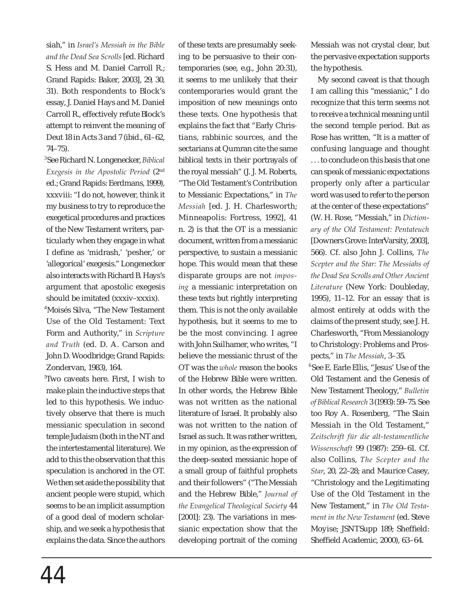siah," in *Israel's Messiah in the Bible and the Dead Sea Scrolls* [ed. Richard S. Hess and M. Daniel Carroll R.; Grand Rapids: Baker, 2003], 29, 30, 31). Both respondents to Block's essay, J. Daniel Hays and M. Daniel Carroll R., effectively refute Block's attempt to reinvent the meaning of Deut 18 in Acts 3 and 7 (ibid., 61–62, 74–75).

<sup>3</sup>See Richard N. Longenecker, *Biblical Exegesis in the Apostolic Period* (2nd ed.; Grand Rapids: Eerdmans, 1999), xxxviii: "I do not, however, think it my business to try to reproduce the exegetical procedures and practices of the New Testament writers, particularly when they engage in what I define as 'midrash,' 'pesher,' or 'allegorical' exegesis." Longenecker also interacts with Richard B. Hays's argument that apostolic exegesis should be imitated (xxxiv–xxxix). <sup>4</sup>Moisés Silva, "The New Testament Use of the Old Testament: Text Form and Authority," in *Scripture and Truth* (ed. D. A. Carson and John D. Woodbridge; Grand Rapids: Zondervan, 1983), 164.

<sup>5</sup>Two caveats here. First, I wish to make plain the inductive steps that led to this hypothesis. We inductively observe that there is much messianic speculation in second temple Judaism (both in the NT and the intertestamental literature). We add to this the observation that this speculation is anchored in the OT. We then set aside the possibility that ancient people were stupid, which seems to be an implicit assumption of a good deal of modern scholarship, and we seek a hypothesis that explains the data. Since the authors of these texts are presumably seeking to be persuasive to their contemporaries (see, e.g., John 20:31), it seems to me unlikely that their contemporaries would grant the imposition of new meanings onto these texts. One hypothesis that explains the fact that "Early Christians, rabbinic sources, and the sectarians at Qumran cite the same biblical texts in their portrayals of the royal messiah" (J. J. M. Roberts, "The Old Testament's Contribution to Messianic Expectations," in *The Messiah* [ed. J. H. Charlesworth; Minneapolis: Fortress, 1992], 41 n. 2) is that the OT is a messianic document, written from a messianic perspective, to sustain a messianic hope. This would mean that these disparate groups are not *imposing* a messianic interpretation on these texts but rightly interpreting them. This is not the only available hypothesis, but it seems to me to be the most convincing. I agree with John Sailhamer, who writes, "I believe the messianic thrust of the OT was the *whole* reason the books of the Hebrew Bible were written. In other words, the Hebrew Bible was not written as the national literature of Israel. It probably also was not written to the nation of Israel as such. It was rather written, in my opinion, as the expression of the deep-seated messianic hope of a small group of faithful prophets and their followers" ("The Messiah and the Hebrew Bible," *Journal of the Evangelical Theological Society* 44 [2001]: 23). The variations in messianic expectation show that the developing portrait of the coming

Messiah was not crystal clear, but the pervasive expectation supports the hypothesis.

 My second caveat is that though I am calling this "messianic," I do recognize that this term seems not to receive a technical meaning until the second temple period. But as Rose has written, "It is a matter of confusing language and thought . . . to conclude on this basis that one can speak of messianic expectations properly only after a particular word was used to refer to the person at the center of these expectations" (W. H. Rose, "Messiah," in *Dictionary of the Old Testament: Pentateuch* [Downers Grove: InterVarsity, 2003], 566). Cf. also John J. Collins, *The Scepter and the Star: The Messiahs of the Dead Sea Scrolls and Other Ancient Literature* (New York: Doubleday, 1995), 11–12. For an essay that is almost entirely at odds with the claims of the present study, see J. H. Charlesworth, "From Messianology to Christology: Problems and Prospects," in *The Messiah*, 3–35.

<sup>6</sup>See E. Earle Ellis, "Jesus' Use of the Old Testament and the Genesis of New Testament Theology," *Bulletin of Biblical Research* 3 (1993): 59–75. See too Roy A. Rosenberg, "The Slain Messiah in the Old Testament," *Zeitschrift für die alt-testamentliche Wissenschaft* 99 (1987): 259–61. Cf. also Collins, *The Scepter and the Star*, 20, 22–28; and Maurice Casey, "Christology and the Legitimating Use of the Old Testament in the New Testament," in *The Old Testament in the New Testament* (ed. Steve Moyise; JSNTSupp 189; Sheffield: Sheffield Academic, 2000), 63-64.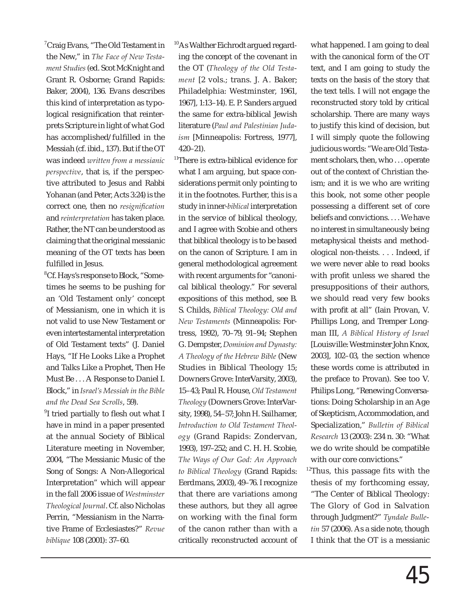<sup>7</sup>Craig Evans, "The Old Testament in the New," in *The Face of New Testament Studies* (ed. Scot McKnight and Grant R. Osborne; Grand Rapids: Baker, 2004), 136. Evans describes this kind of interpretation as typological resignification that reinterprets Scripture in light of what God has accomplished/fulfilled in the Messiah (cf. ibid., 137). But if the OT was indeed *written from a messianic perspective*, that is, if the perspective attributed to Jesus and Rabbi Yohanan (and Peter, Acts 3:24) is the correct one, then no *resignification* and *reinterpretation* has taken place. Rather, the NT can be understood as claiming that the original messianic meaning of the OT texts has been fulfilled in Jesus.

<sup>8</sup>Cf. Hays's response to Block, "Sometimes he seems to be pushing for an 'Old Testament only' concept of Messianism, one in which it is not valid to use New Testament or even intertestamental interpretation of Old Testament texts" (J. Daniel Hays, "If He Looks Like a Prophet and Talks Like a Prophet, Then He Must Be . . . A Response to Daniel I. Block," in *Israel's Messiah in the Bible and the Dead Sea Scrolls*, 59).

<sup>9</sup>I tried partially to flesh out what I have in mind in a paper presented at the annual Society of Biblical Literature meeting in November, 2004, "The Messianic Music of the Song of Songs: A Non-Allegorical Interpretation" which will appear in the fall 2006 issue of *Westminster Theological Journal*. Cf. also Nicholas Perrin, "Messianism in the Narrative Frame of Ecclesiastes?" *Revue biblique* 108 (2001): 37–60.

<sup>10</sup>As Walther Eichrodt argued regarding the concept of the covenant in the OT (*Theology of the Old Testament* [2 vols.; trans. J. A. Baker; Philadelphia: Westminster, 1961, 1967], 1:13–14). E. P. Sanders argued the same for extra-biblical Jewish literature (*Paul and Palestinian Judaism* [Minneapolis: Fortress, 1977], 420–21).

<sup>11</sup>There is extra-biblical evidence for what I am arguing, but space considerations permit only pointing to it in the footnotes. Further, this is a study in inner-*biblical* interpretation in the service of biblical theology, and I agree with Scobie and others that biblical theology is to be based on the canon of Scripture. I am in general methodological agreement with recent arguments for "canonical biblical theology." For several expositions of this method, see B. S. Childs, *Biblical Theology: Old and New Testaments* (Minneapolis: Fortress, 1992), 70–79, 91–94; Stephen G. Dempster, *Dominion and Dynasty: A Theology of the Hebrew Bible* (New Studies in Biblical Theology 15; Downers Grove: InterVarsity, 2003), 15–43; Paul R. House, *Old Testament Theology* (Downers Grove: InterVarsity, 1998), 54–57; John H. Sailhamer, *Introduction to Old Testament Theology* (Grand Rapids: Zondervan, 1993), 197–252; and C. H. H. Scobie, *The Ways of Our God: An Approach to Biblical Theology* (Grand Rapids: Eerdmans, 2003), 49–76. I recognize that there are variations among these authors, but they all agree on working with the final form of the canon rather than with a critically reconstructed account of

what happened. I am going to deal with the canonical form of the OT text, and I am going to study the texts on the basis of the story that the text tells. I will not engage the reconstructed story told by critical scholarship. There are many ways to justify this kind of decision, but I will simply quote the following judicious words: "We are Old Testament scholars, then, who . . . operate out of the context of Christian theism; and it is we who are writing this book, not some other people possessing a different set of core beliefs and convictions. . . . We have no interest in simultaneously being metaphysical theists and methodological non-theists. . . . Indeed, if we were never able to read books with profit unless we shared the presuppositions of their authors, we should read very few books with profit at all" (Iain Provan, V. Phillips Long, and Tremper Longman III, *A Biblical History of Israel* [Louisville: Westminster John Knox, 2003], 102–03, the section whence these words come is attributed in the preface to Provan). See too V. Philips Long, "Renewing Conversations: Doing Scholarship in an Age of Skepticism, Accommodation, and Specialization," *Bulletin of Biblical Research* 13 (2003): 234 n. 30: "What we do write should be compatible with our core convictions."

 $12$ Thus, this passage fits with the thesis of my forthcoming essay, "The Center of Biblical Theology: The Glory of God in Salvation through Judgment?" *Tyndale Bulletin* 57 (2006). As a side note, though I think that the OT is a messianic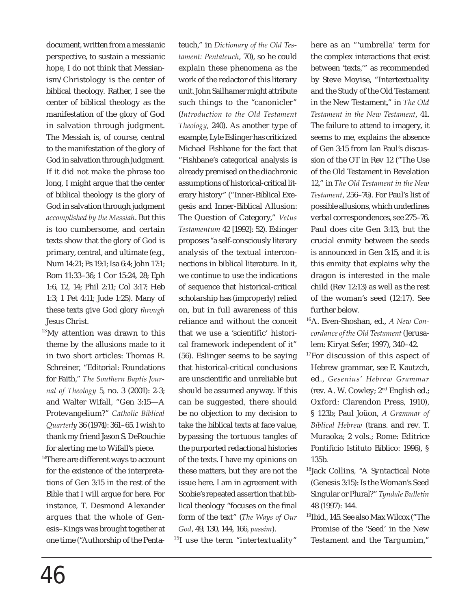document, written from a messianic perspective, to sustain a messianic hope, I do not think that Messianism/Christology is the center of biblical theology. Rather, I see the center of biblical theology as the manifestation of the glory of God in salvation through judgment. The Messiah is, of course, central to the manifestation of the glory of God in salvation through judgment. If it did not make the phrase too long, I might argue that the center of biblical theology is the glory of God in salvation through judgment *accomplished by the Messiah*. But this is too cumbersome, and certain texts show that the glory of God is primary, central, and ultimate (e.g., Num 14:21; Ps 19:1; Isa 6:4; John 17:1; Rom 11:33–36; 1 Cor 15:24, 28; Eph 1:6, 12, 14; Phil 2:11; Col 3:17; Heb 1:3; 1 Pet 4:11; Jude 1:25). Many of these texts give God glory *through* Jesus Christ.

- $13$ My attention was drawn to this theme by the allusions made to it in two short articles: Thomas R. Schreiner, "Editorial: Foundations for Faith," *The Southern Baptis Journal of Theology* 5, no. 3 (2001): 2-3; and Walter Wifall, "Gen 3:15—A Protevangelium?" *Catholic Biblical Quarterly* 36 (1974): 361–65. I wish to thank my friend Jason S. DeRouchie for alerting me to Wifall's piece.
- $14$ There are different ways to account for the existence of the interpretations of Gen 3:15 in the rest of the Bible that I will argue for here. For instance, T. Desmond Alexander argues that the whole of Genesis–Kings was brought together at one time ("Authorship of the Penta-

teuch," in *Dictionary of the Old Testament: Pentateuch*, 70), so he could explain these phenomena as the work of the redactor of this literary unit. John Sailhamer might attribute such things to the "canonicler" (*Introduction to the Old Testament Theology*, 240). As another type of example, Lyle Eslinger has criticized Michael Fishbane for the fact that "Fishbane's categorical analysis is already premised on the diachronic assumptions of historical-critical literary history" ("Inner-Biblical Exegesis and Inner-Biblical Allusion: The Question of Category," *Vetus Testamentum* 42 [1992]: 52). Eslinger proposes "a self-consciously literary analysis of the textual interconnections in biblical literature. In it, we continue to use the indications of sequence that historical-critical scholarship has (improperly) relied on, but in full awareness of this reliance and without the conceit that we use a 'scientific' historical framework independent of it" (56). Eslinger seems to be saying that historical-critical conclusions are unscientific and unreliable but should be assumed anyway. If this can be suggested, there should be no objection to my decision to take the biblical texts at face value, bypassing the tortuous tangles of the purported redactional histories of the texts. I have my opinions on these matters, but they are not the issue here. I am in agreement with Scobie's repeated assertion that biblical theology "focuses on the final form of the text" (*The Ways of Our God*, 49, 130, 144, 166, *passim*).  $15I$  use the term "intertextuality" here as an "'umbrella' term for the complex interactions that exist between 'texts,'" as recommended by Steve Moyise, "Intertextuality and the Study of the Old Testament in the New Testament," in *The Old Testament in the New Testament*, 41. The failure to attend to imagery, it seems to me, explains the absence of Gen 3:15 from Ian Paul's discussion of the OT in Rev 12 ("The Use of the Old Testament in Revelation 12," in *The Old Testament in the New Testament*, 256–76). For Paul's list of possible allusions, which underlines verbal correspondences, see 275–76. Paul does cite Gen 3:13, but the crucial enmity between the seeds is announced in Gen 3:15, and it is this enmity that explains why the dragon is interested in the male child (Rev 12:13) as well as the rest of the woman's seed (12:17). See further below.

- <sup>16</sup>A. Even-Shoshan, ed., *A New Concordance of the Old Testament* (Jerusalem: Kiryat Sefer, 1997), 340–42.
- $17$ For discussion of this aspect of Hebrew grammar, see E. Kautzch, ed., *Gesenius' Hebrew Grammar* (rev. A. W. Cowley; 2nd English ed.; Oxford: Clarendon Press, 1910), § 123b; Paul Joüon, *A Grammar of Biblical Hebrew* (trans. and rev. T. Muraoka; 2 vols.; Rome: Editrice Pontificio Istituto Biblico: 1996), § 135b.
- <sup>18</sup>Jack Collins, "A Syntactical Note (Genesis 3:15): Is the Woman's Seed Singular or Plural?" *Tyndale Bulletin* 48 (1997): 144.
- <sup>19</sup>Ibid., 145. See also Max Wilcox ("The Promise of the 'Seed' in the New Testament and the Targumim,"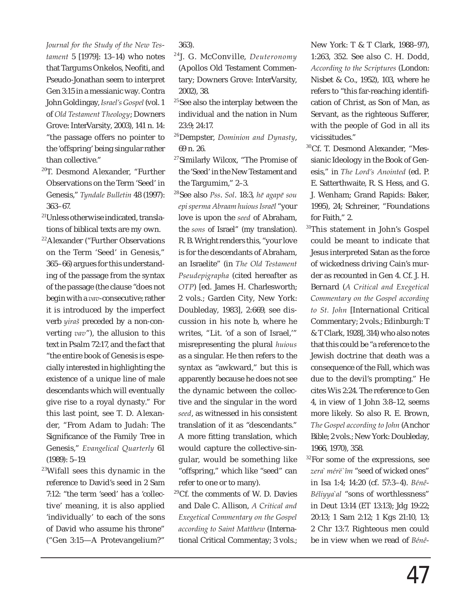*Journal for the Study of the New Testament* 5 [1979]: 13–14) who notes that Targums Onkelos, Neofiti, and Pseudo-Jonathan seem to interpret Gen 3:15 in a messianic way. Contra John Goldingay, *Israel's Gospel* (vol. 1 of *Old Testament Theology*; Downers Grove: InterVarsity, 2003), 141 n. 14: "the passage offers no pointer to the 'offspring' being singular rather than collective."

- $20T$ . Desmond Alexander, "Further Observations on the Term 'Seed' in Genesis," *Tyndale Bulletin* 48 (1997): 363–67.
- <sup>21</sup>Unless otherwise indicated, translations of biblical texts are my own.
- <sup>22</sup>Alexander ("Further Observations on the Term 'Seed' in Genesis," 365–66) argues for this understanding of the passage from the syntax of the passage (the clause "does not begin with a *vav*-consecutive; rather it is introduced by the imperfect verb *yiraš* preceded by a non-converting *vav*"), the allusion to this text in Psalm 72:17, and the fact that "the entire book of Genesis is especially interested in highlighting the existence of a unique line of male descendants which will eventually give rise to a royal dynasty." For this last point, see T. D. Alexander, "From Adam to Judah: The Significance of the Family Tree in Genesis," *Evangelical Quarterly* 61 (1989): 5–19.
- $23$ Wifall sees this dynamic in the reference to David's seed in 2 Sam 7:12: "the term 'seed' has a 'collective' meaning, it is also applied 'individually' to each of the sons of David who assume his throne" ("Gen 3:15—A Protevangelium?"

363).

- <sup>24</sup>J. G. McConville, *Deuteronomy* (Apollos Old Testament Commentary; Downers Grove: InterVarsity, 2002), 38.
- <sup>25</sup>See also the interplay between the individual and the nation in Num 23:9; 24:17.
- <sup>26</sup>Dempster, *Dominion and Dynasty*, 69 n. 26.
- <sup>27</sup>Similarly Wilcox, "The Promise of the 'Seed' in the New Testament and the Targumim," 2–3.
- <sup>28</sup>See also *Pss*. *Sol*. 18:3, *hē agapē sou epi sperma Abraam huious Israēl* "your love is upon the *seed* of Abraham, the *sons* of Israel" (my translation). R. B. Wright renders this, "your love is for the descendants of Abraham, an Israelite" (in *The Old Testament Pseudepigrapha* (cited hereafter as *OTP*) [ed. James H. Charlesworth; 2 vols.; Garden City, New York: Doubleday, 1983], 2:669, see discussion in his note b, where he writes, "Lit. 'of a son of Israel,'" misrepresenting the plural *huious* as a singular. He then refers to the syntax as "awkward," but this is apparently because he does not see the dynamic between the collective and the singular in the word *seed*, as witnessed in his consistent translation of it as "descendants." A more fitting translation, which would capture the collective-singular, would be something like "offspring," which like "seed" can refer to one or to many).
- <sup>29</sup>Cf. the comments of W. D. Davies and Dale C. Allison, *A Critical and Exegetical Commentary on the Gospel according to Saint Matthew* (International Critical Commentay; 3 vols.;

New York: T & T Clark, 1988–97), 1:263, 352. See also C. H. Dodd, *According to the Scriptures* (London: Nisbet & Co., 1952), 103, where he refers to "this far-reaching identification of Christ, as Son of Man, as Servant, as the righteous Sufferer, with the people of God in all its vicissitudes."

- <sup>30</sup>Cf. T. Desmond Alexander, "Messianic Ideology in the Book of Genesis," in *The Lord's Anointed* (ed. P. E. Satterthwaite, R. S. Hess, and G. J. Wenham; Grand Rapids: Baker, 1995), 24; Schreiner, "Foundations for Faith," 2.
- <sup>31</sup>This statement in John's Gospel could be meant to indicate that Jesus interpreted Satan as the force of wickedness driving Cain's murder as recounted in Gen 4. Cf. J. H. Bernard (*A Critical and Exegetical Commentary on the Gospel according to St. John* [International Critical Commentary; 2 vols.; Edinburgh: T & T Clark, 1928], 314) who also notes that this could be "a reference to the Jewish doctrine that death was a consequence of the Fall, which was due to the devil's prompting." He cites Wis 2:24. The reference to Gen 4, in view of 1 John 3:8–12, seems more likely. So also R. E. Brown, *The Gospel according to John* (Anchor Bible; 2 vols.; New York: Doubleday, 1966, 1970), 358.
- <sup>32</sup>For some of the expressions, see *zera` mérë`îm* "seed of wicked ones" in Isa 1:4; 14:20 (cf. 57:3–4). *Bénê-Béliyya`al* "sons of worthlessness" in Deut 13:14 (ET 13:13); Jdg 19:22; 20:13; 1 Sam 2:12; 1 Kgs 21:10, 13; 2 Chr 13:7. Righteous men could be in view when we read of *Bénê-*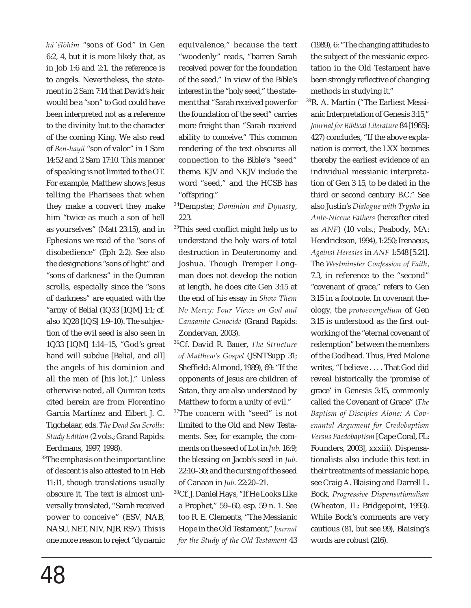*hä´élöhîm* "sons of God" in Gen 6:2, 4, but it is more likely that, as in Job 1:6 and 2:1, the reference is to angels. Nevertheless, the statement in 2 Sam 7:14 that David's heir would be a "son" to God could have been interpreted not as a reference to the divinity but to the character of the coming King. We also read of *Ben-hayil* "son of valor" in 1 Sam 14:52 and 2 Sam 17:10. This manner of speaking is not limited to the OT. For example, Matthew shows Jesus telling the Pharisees that when they make a convert they make him "twice as much a son of hell as yourselves" (Matt 23:15), and in Ephesians we read of the "sons of disobedience" (Eph 2:2). See also the designations "sons of light" and "sons of darkness" in the Qumran scrolls, especially since the "sons of darkness" are equated with the "army of Belial (1Q33 [1QM] 1:1; cf. also 1Q28 [1QS] 1:9–10). The subjection of the evil seed is also seen in 1Q33 [1QM] 1:14–15, "God's great hand will subdue [Belial, and all] the angels of his dominion and all the men of [his lot.]." Unless otherwise noted, all Qumran texts cited herein are from Florentino García Martínez and Eibert J. C. Tigchelaar, eds. *The Dead Sea Scrolls: Study Edition* (2 vols.; Grand Rapids: Eerdmans, 1997, 1998).

 $33$ The emphasis on the important line of descent is also attested to in Heb 11:11, though translations usually obscure it. The text is almost universally translated, "Sarah received power to conceive" (ESV, NAB, NASU, NET, NIV, NJB, RSV). This is one more reason to reject "dynamic equivalence," because the text "woodenly" reads, "barren Sarah received power for the foundation of the seed." In view of the Bible's interest in the "holy seed," the statement that "Sarah received power for the foundation of the seed" carries more freight than "Sarah received ability to conceive." This common rendering of the text obscures all connection to the Bible's "seed" theme. KJV and NKJV include the word "seed," and the HCSB has "offspring."

- <sup>34</sup>Dempster, *Dominion and Dynasty*, 223.
- <sup>35</sup>This seed conflict might help us to understand the holy wars of total destruction in Deuteronomy and Joshua. Though Tremper Longman does not develop the notion at length, he does cite Gen 3:15 at the end of his essay in *Show Them No Mercy: Four Views on God and Canaanite Genocide* (Grand Rapids: Zondervan, 2003).
- <sup>36</sup>Cf. David R. Bauer, *The Structure of Matthew's Gospel* (JSNTSupp 31; Sheffield: Almond, 1989), 69: "If the opponents of Jesus are children of Satan, they are also understood by Matthew to form a unity of evil."
- <sup>37</sup>The concern with "seed" is not limited to the Old and New Testaments. See, for example, the comments on the seed of Lot in *Jub*. 16:9; the blessing on Jacob's seed in *Jub*. 22:10–30; and the cursing of the seed of Canaan in *Jub*. 22:20–21.
- <sup>38</sup>Cf. J. Daniel Hays, "If He Looks Like a Prophet," 59–60, esp. 59 n. 1. See too R. E. Clements, "The Messianic Hope in the Old Testament," *Journal for the Study of the Old Testament* 43

(1989), 6: "The changing attitudes to the subject of the messianic expectation in the Old Testament have been strongly reflective of changing methods in studying it."

<sup>39</sup>R. A. Martin ("The Earliest Messianic Interpretation of Genesis 3:15," *Journal for Biblical Literature* 84 [1965]: 427) concludes, "If the above explanation is correct, the LXX becomes thereby the earliest evidence of an individual messianic interpretation of Gen 3 15, to be dated in the third or second century B.C." See also Justin's *Dialogue with Trypho* in *Ante-Nicene Fathers* (hereafter cited as *ANF*) (10 vols.; Peabody, MA: Hendrickson, 1994), 1:250; Irenaeus, *Against Heresies* in *ANF* 1:548 [5.21]. The *Westminster Confession of Faith*, 7.3, in reference to the "second" "covenant of grace," refers to Gen 3:15 in a footnote. In covenant theology, the *protoevangelium* of Gen 3:15 is understood as the first outworking of the "eternal covenant of redemption" between the members of the Godhead. Thus, Fred Malone writes, "I believe . . . . That God did reveal historically the 'promise of grace' in Genesis 3:15, commonly called the Covenant of Grace" (*The Baptism of Disciples Alone: A Covenantal Argument for Credobaptism Versus Paedobaptism* [Cape Coral, FL: Founders, 2003], xxxiii). Dispensationalists also include this text in their treatments of messianic hope, see Craig A. Blaising and Darrell L. Bock, *Progressive Dispensationalism* (Wheaton, IL: Bridgepoint, 1993). While Bock's comments are very cautious (81, but see 99), Blaising's words are robust (216).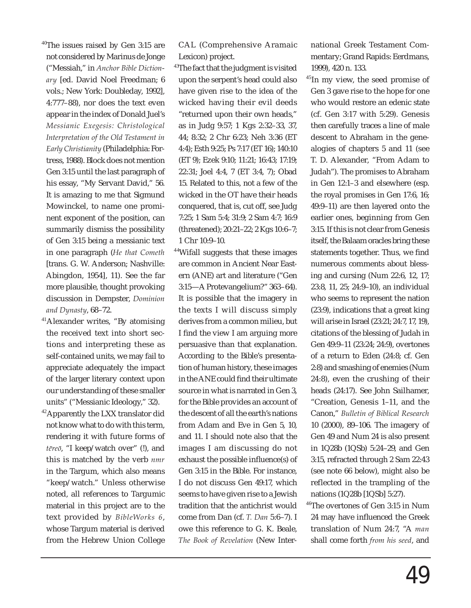<sup>40</sup>The issues raised by Gen 3:15 are not considered by Marinus de Jonge ("Messiah," in *Anchor Bible Dictionary* [ed. David Noel Freedman; 6 vols.; New York: Doubleday, 1992], 4:777–88), nor does the text even appear in the index of Donald Juel's *Messianic Exegesis: Christological Interpretation of the Old Testament in Early Christianity* (Philadelphia: Fortress, 1988). Block does not mention Gen 3:15 until the last paragraph of his essay, "My Servant David," 56. It is amazing to me that Sigmund Mowinckel, to name one prominent exponent of the position, can summarily dismiss the possibility of Gen 3:15 being a messianic text in one paragraph (*He that Cometh* [trans. G. W. Anderson; Nashville: Abingdon, 1954], 11). See the far more plausible, thought provoking discussion in Dempster, *Dominion and Dynasty*, 68–72.

<sup>41</sup>Alexander writes, "By atomising the received text into short sections and interpreting these as self-contained units, we may fail to appreciate adequately the impact of the larger literary context upon our understanding of these smaller units" ("Messianic Ideology," 32).

<sup>42</sup>Apparently the LXX translator did not know what to do with this term, rendering it with future forms of *tēreō*, "I keep/watch over" (!), and this is matched by the verb *nmr*  in the Targum, which also means "keep/watch." Unless otherwise noted, all references to Targumic material in this project are to the text provided by *BibleWorks 6*, whose Targum material is derived from the Hebrew Union College CAL (Comprehensive Aramaic Lexicon) project.

<sup>43</sup>The fact that the judgment is visited upon the serpent's head could also have given rise to the idea of the wicked having their evil deeds "returned upon their own heads," as in Judg 9:57; 1 Kgs 2:32–33, 37, 44; 8:32; 2 Chr 6:23; Neh 3:36 (ET 4:4); Esth 9:25; Ps 7:17 (ET 16); 140:10 (ET 9); Ezek 9:10; 11:21; 16:43; 17:19; 22:31; Joel 4:4, 7 (ET 3:4, 7); Obad 15. Related to this, not a few of the wicked in the OT have their heads conquered, that is, cut off, see Judg 7:25; 1 Sam 5:4; 31:9; 2 Sam 4:7; 16:9 (threatened); 20:21–22; 2 Kgs 10:6–7; 1 Chr 10:9–10.

<sup>44</sup>Wifall suggests that these images are common in Ancient Near Eastern (ANE) art and literature ("Gen 3:15—A Protevangelium?" 363–64). It is possible that the imagery in the texts I will discuss simply derives from a common milieu, but I find the view I am arguing more persuasive than that explanation. According to the Bible's presentation of human history, these images in the ANE could find their ultimate source in what is narrated in Gen 3, for the Bible provides an account of the descent of all the earth's nations from Adam and Eve in Gen 5, 10, and 11. I should note also that the images I am discussing do not exhaust the possible influence(s) of Gen 3:15 in the Bible. For instance, I do not discuss Gen 49:17, which seems to have given rise to a Jewish tradition that the antichrist would come from Dan (cf. *T. Dan* 5:6–7). I owe this reference to G. K. Beale, *The Book of Revelation* (New International Greek Testament Commentary; Grand Rapids: Eerdmans, 1999), 420 n. 133.

<sup>45</sup>In my view, the seed promise of Gen 3 gave rise to the hope for one who would restore an edenic state (cf. Gen 3:17 with 5:29). Genesis then carefully traces a line of male descent to Abraham in the genealogies of chapters 5 and 11 (see T. D. Alexander, "From Adam to Judah"). The promises to Abraham in Gen 12:1–3 and elsewhere (esp. the royal promises in Gen 17:6, 16; 49:9–11) are then layered onto the earlier ones, beginning from Gen 3:15. If this is not clear from Genesis itself, the Balaam oracles bring these statements together. Thus, we find numerous comments about blessing and cursing (Num 22:6, 12, 17; 23:8, 11, 25; 24:9–10), an individual who seems to represent the nation (23:9), indications that a great king will arise in Israel (23:21; 24:7, 17, 19), citations of the blessing of Judah in Gen 49:9–11 (23:24; 24:9), overtones of a return to Eden (24:8; cf. Gen 2:8) and smashing of enemies (Num 24:8), even the crushing of their heads (24:17). See John Sailhamer, "Creation, Genesis 1–11, and the Canon," *Bulletin of Biblical Research*  10 (2000), 89–106. The imagery of Gen 49 and Num 24 is also present in 1Q28b (1QSb) 5:24–29, and Gen 3:15, refracted through 2 Sam 22:43 (see note 66 below), might also be reflected in the trampling of the nations (1Q28b [1QSb] 5:27).

<sup>46</sup>The overtones of Gen 3:15 in Num 24 may have influenced the Greek translation of Num 24:7, "A *man* shall come forth *from his seed*, and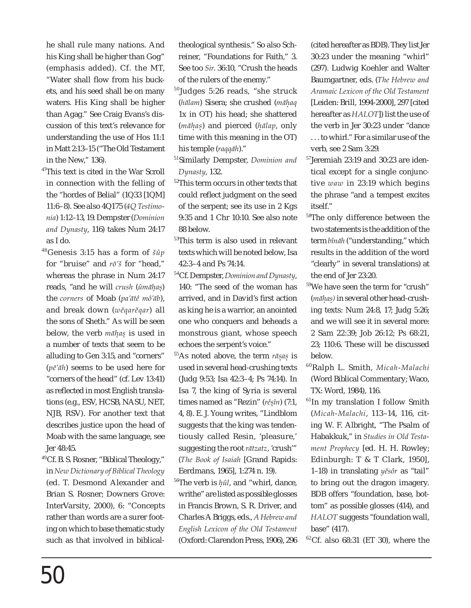he shall rule many nations. And his King shall be higher than Gog" (emphasis added). Cf. the MT, "Water shall flow from his buckets, and his seed shall be on many waters. His King shall be higher than Agag." See Craig Evans's discussion of this text's relevance for understanding the use of Hos 11:1 in Matt 2:13–15 ("The Old Testament in the New," 136).

- <sup>47</sup>This text is cited in the War Scroll in connection with the felling of the "hordes of Belial" (1Q33 [1QM] 11:6–8). See also 4Q175 (*4Q Testimonia*) 1:12–13, 19. Dempster (*Dominion and Dynasty*, 116) takes Num 24:17 as I do.
- <sup>48</sup>Genesis 3:15 has a form of *šûp*  for "bruise" and *rō'š* for "head," whereas the phrase in Num 24:17 reads, "and he will *crush* (*ûmāhas*) . . the *corners* of Moab (*pa'ātê mô'āb*), and break down (*wĕqarĕqar*) all the sons of Sheth." As will be seen below, the verb *māhas* is used in . . a number of texts that seem to be alluding to Gen 3:15, and "corners" (*pē'āh*) seems to be used here for "corners of the head" (cf. Lev 13:41) as reflected in most English translations (e.g., ESV, HCSB, NASU, NET, NJB, RSV). For another text that describes justice upon the head of Moab with the same language, see Jer 48:45.
- <sup>49</sup>Cf. B. S. Rosner, "Biblical Theology," in *New Dictionary of Biblical Theology* (ed. T. Desmond Alexander and Brian S. Rosner; Downers Grove: InterVarsity, 2000), 6: "Concepts rather than words are a surer footing on which to base thematic study such as that involved in biblical-

theological synthesis." So also Schreiner, "Foundations for Faith," 3. See too *Sir*. 36:10, "Crush the heads of the rulers of the enemy."

- $50$ Judges 5:26 reads, "she struck (*hālam*) Sisera; she crushed (*māhaq* . 1x in OT) his head; she shattered (*māhas*) and pierced (*hālap*, only . . . time with this meaning in the OT) his temple (*raqqāh*)."
- <sup>51</sup>Similarly Dempster, *Dominion and Dynasty*, 132.
- <sup>52</sup>This term occurs in other texts that could reflect judgment on the seed of the serpent; see its use in 2 Kgs 9:35 and 1 Chr 10:10. See also note 88 below.
- 53This term is also used in relevant texts which will be noted below, Isa 42:3–4 and Ps 74:14.
- <sup>54</sup>Cf. Dempster, *Dominion and Dynasty*, 140: "The seed of the woman has arrived, and in David's first action as king he is a warrior, an anointed one who conquers and beheads a monstrous giant, whose speech echoes the serpent's voice."
- <sup>55</sup>As noted above, the term *rāsas* is . . used in several head-crushing texts (Judg 9:53; Isa 42:3–4; Ps 74:14). In Isa 7, the king of Syria is several times named as "Rezin" (*rěsîn*) (7:1, . 4, 8). E. J. Young writes, "Lindblom suggests that the king was tendentiously called Resin, 'pleasure,' suggesting the root *rātzatz*, 'crush'" (*The Book of Isaiah* [Grand Rapids: Eerdmans, 1965], 1:274 n. 19).
- <sup>56</sup>The verb is  $\hat{\mu}\hat{u}l$ , and "whirl, dance, writhe" are listed as possible glosses in Francis Brown, S. R. Driver, and Charles A Briggs, eds., *A Hebrew and English Lexicon of the Old Testament* (Oxford: Clarendon Press, 1906), 296

(cited hereafter as BDB). They list Jer 30:23 under the meaning "whirl" (297). Ludwig Koehler and Walter Baumgartner, eds. (*The Hebrew and Aramaic Lexicon of the Old Testament*  [Leiden: Brill, 1994-2000], 297 [cited hereafter as *HALOT*]) list the use of the verb in Jer 30:23 under "dance . . . to whirl." For a similar use of the verb, see 2 Sam 3:29.

- <sup>57</sup>Jeremiah 23:19 and 30:23 are identical except for a single conjunctive *waw* in 23:19 which begins the phrase "and a tempest excites itself."
- <sup>58</sup>The only difference between the two statements is the addition of the term *bînāh* ("understanding," which results in the addition of the word "clearly" in several translations) at the end of Jer 23:20.
- <sup>59</sup>We have seen the term for "crush" (*māhas)* in several other head-crush-. . ing texts: Num 24:8, 17; Judg 5:26; and we will see it in several more: 2 Sam 22:39; Job 26:12; Ps 68:21, 23; 110:6. These will be discussed below.
- <sup>60</sup>Ralph L. Smith, *Micah-Malachi* (Word Biblical Commentary; Waco, TX: Word, 1984), 116.
- <sup>61</sup>In my translation I follow Smith (*Micah-Malachi*, 113–14, 116, citing W. F. Albright, "The Psalm of Habakkuk," in *Studies in Old Testament Prophecy* [ed. H. H. Rowley; Edinburgh: T & T Clark, 1950], 1–18) in translating *yĕsôr* as "tail" to bring out the dragon imagery. BDB offers "foundation, base, bottom" as possible glosses (414), and *HALOT* suggests "foundation wall, base" (417).
- $62$ Cf. also 68:31 (ET 30), where the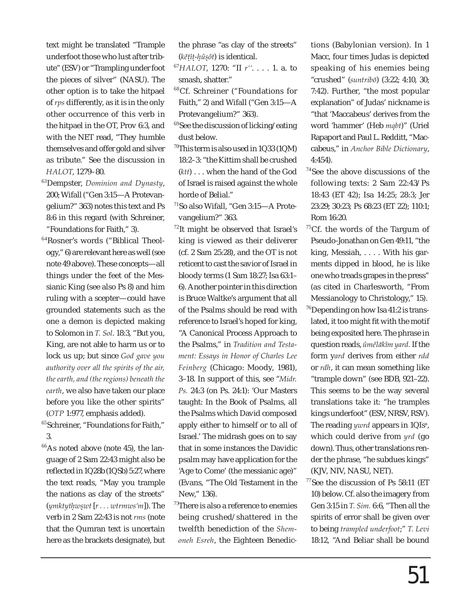text might be translated "Trample underfoot those who lust after tribute" (ESV) or "Trampling under foot the pieces of silver" (NASU). The other option is to take the hitpael of *rps* differently, as it is in the only other occurrence of this verb in the hitpael in the OT, Prov 6:3, and with the NET read, "They humble themselves and offer gold and silver as tribute." See the discussion in *HALOT*, 1279–80.

- <sup>63</sup>Dempster, *Dominion and Dynasty*, 200; Wifall ("Gen 3:15—A Protevangelium?" 363) notes this text and Ps 8:6 in this regard (with Schreiner, "Foundations for Faith," 3).
- <sup>64</sup>Rosner's words ("Biblical Theology," 6) are relevant here as well (see note 49 above). These concepts—all things under the feet of the Messianic King (see also Ps 8) and him ruling with a scepter—could have grounded statements such as the one a demon is depicted making to Solomon in *T. Sol*. 18:3, "But you, King, are not able to harm us or to lock us up; but since *God gave you authority over all the spirits of the air, the earth, and (the regions) beneath the earth*, we also have taken our place before you like the other spirits" (*OTP* 1:977, emphasis added).

<sup>65</sup>Schreiner, "Foundations for Faith," 3.

 $66$ As noted above (note 45), the language of 2 Sam 22:43 might also be reflected in 1Q28b (1QSb) 5:27, where the text reads, "May you trample the nations as clay of the streets" (*ymktythwswt* [*r . . . wtrmws'm*]). The . . verb in 2 Sam 22:43 is not *rms* (note that the Qumran text is uncertain here as the brackets designate), but the phrase "as clay of the streets" (*kĕtît-hûsôt*) is identical. ... .

- <sup>67</sup>*HALOT*, 1270: "II *r''*. . . . 1. a. to smash, shatter."
- <sup>68</sup>Cf. Schreiner ("Foundations for Faith," 2) and Wifall ("Gen 3:15—A Protevangelium?" 363).
- <sup>69</sup>See the discussion of licking/eating dust below.
- $^{70}$ This term is also used in 1Q33 (1QM) 18:2–3: "the Kittim shall be crushed (*ktt*) . . . when the hand of the God of Israel is raised against the whole horde of Belial."
- <sup>71</sup>So also Wifall, "Gen 3:15—A Protevangelium?" 363.
- $72$ It might be observed that Israel's king is viewed as their deliverer (cf. 2 Sam 25:28), and the OT is not reticent to cast the savior of Israel in bloody terms (1 Sam 18:27; Isa 63:1– 6). Another pointer in this direction is Bruce Waltke's argument that all of the Psalms should be read with reference to Israel's hoped for king, "A Canonical Process Approach to the Psalms," in *Tradition and Testament: Essays in Honor of Charles Lee Feinberg* (Chicago: Moody, 1981), 3–18. In support of this, see "*Midr. Ps.* 24:3 (on Ps. 24:1): 'Our Masters taught: In the Book of Psalms, all the Psalms which David composed apply either to himself or to all of Israel.' The midrash goes on to say that in some instances the Davidic psalm may have application for the 'Age to Come' (the messianic age)" (Evans, "The Old Testament in the New," 136).
- $73$ There is also a reference to enemies being crushed/shattered in the twelfth benediction of the *Shemoneh Esreh*, the Eighteen Benedic-

tions (Babylonian version). In 1 Macc, four times Judas is depicted speaking of his enemies being "crushed" (*suntribō*) (3:22; 4:10, 30; 7:42). Further, "the most popular explanation" of Judas' nickname is "that 'Maccabeus' derives from the word 'hammer' (Heb *mqbt*)" (Uriel Rapaport and Paul L. Redditt, "Maccabeus," in *Anchor Bible Dictionary*, 4:454).

- <sup>74</sup>See the above discussions of the following texts: 2 Sam 22:43/Ps 18:43 (ET 42); Isa 14:25; 28:3; Jer 23:29; 30:23; Ps 68:23 (ET 22); 110:1; Rom 16:20.
- <sup>75</sup>Cf. the words of the Targum of Pseudo-Jonathan on Gen 49:11, "the king, Messiah, . . . . With his garments dipped in blood, he is like one who treads grapes in the press" (as cited in Charlesworth, "From Messianology to Christology," 15).
- $^{76}$ Depending on how Isa 41:2 is translated, it too might fit with the motif being exposited here. The phrase in question reads, *ûmělākîm yard.* If the form y*ard* derives from either *rdd*  or *rdh*, it can mean something like "trample down" (see BDB, 921–22). This seems to be the way several translations take it: "he tramples kings underfoot" (ESV, NRSV, RSV). The reading *ywrd* appears in 1QIs<sup>a</sup>, which could derive from *yrd* (go down). Thus, other translations render the phrase, "he subdues kings" (KJV, NIV, NASU, NET).
- $77$ See the discussion of Ps 58:11 (ET 10) below. Cf. also the imagery from Gen 3:15 in *T. Sim.* 6:6, "Then all the spirits of error shall be given over to being *trampled underfoot*;" *T. Levi*  18:12, "And Beliar shall be bound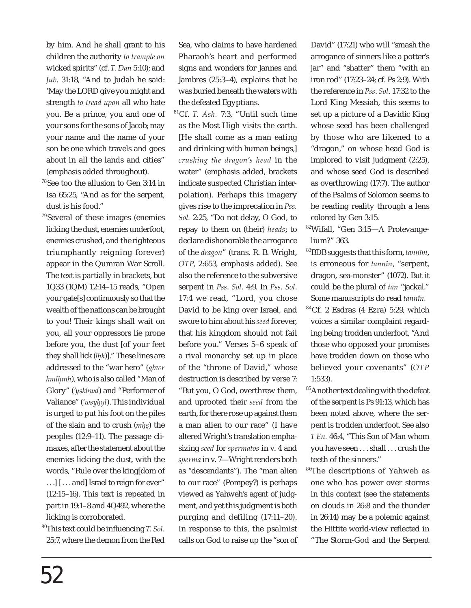by him. And he shall grant to his children the authority *to trample on* wicked spirits" (cf. *T. Dan* 5:10); and *Jub*. 31:18, "And to Judah he said: 'May the LORD give you might and strength *to tread upon* all who hate you. Be a prince, you and one of your sons for the sons of Jacob; may your name and the name of your son be one which travels and goes about in all the lands and cities" (emphasis added throughout).

<sup>78</sup>See too the allusion to Gen 3:14 in Isa 65:25, "And as for the serpent, dust is his food."

 $79$ Several of these images (enemies licking the dust, enemies underfoot, enemies crushed, and the righteous triumphantly reigning forever) appear in the Qumran War Scroll. The text is partially in brackets, but 1Q33 (1QM) 12:14–15 reads, "Open your gate[s] continuously so that the wealth of the nations can be brought to you! Their kings shall wait on you, all your oppressors lie prone before you, the dust [of your feet they shall lick (*lhk*)]." These lines are . addressed to the "war hero" (*gbwr hmlhmh*), who is also called "Man of . Glory" ('*yskbwd*) and "Performer of Valiance" (*'wsyhyl*). This individual . is urged to put his foot on the piles of the slain and to crush (*mhs*) the peoples (12:9–11). The passage climaxes, after the statement about the enemies licking the dust, with the words, "Rule over the king[dom of . . .] [ . . . and] Israel to reign for ever" (12:15–16). This text is repeated in part in 19:1–8 and 4Q492, where the licking is corroborated.

<sup>80</sup>This text could be infl uencing *T. Sol*. 25:7, where the demon from the Red Sea, who claims to have hardened Pharaoh's heart and performed signs and wonders for Jannes and Jambres (25:3–4), explains that he was buried beneath the waters with the defeated Egyptians.

<sup>81</sup>Cf. *T. Ash.* 7:3, "Until such time as the Most High visits the earth. [He shall come as a man eating and drinking with human beings,] *crushing the dragon's head* in the water" (emphasis added, brackets indicate suspected Christian interpolation). Perhaps this imagery gives rise to the imprecation in *Pss. Sol.* 2:25, "Do not delay, O God, to repay to them on (their) *heads*; to declare dishonorable the arrogance of the *dragon*" (trans. R. B. Wright, *OTP*, 2:653, emphasis added). See also the reference to the subversive serpent in *Pss*. *Sol*. 4:9. In *Pss*. *Sol*. 17:4 we read, "Lord, you chose David to be king over Israel, and swore to him about his *seed* forever, that his kingdom should not fail before you." Verses 5–6 speak of a rival monarchy set up in place of the "throne of David," whose destruction is described by verse 7: "But you, O God, overthrew them, and uprooted their *seed* from the earth, for there rose up against them a man alien to our race" (I have altered Wright's translation emphasizing *seed* for *spermatos* in v. 4 and *sperma* in v. 7—Wright renders both as "descendants"). The "man alien to our race" (Pompey?) is perhaps viewed as Yahweh's agent of judgment, and yet this judgment is both purging and defiling (17:11–20). In response to this, the psalmist calls on God to raise up the "son of

David" (17:21) who will "smash the arrogance of sinners like a potter's jar" and "shatter" them "with an iron rod" (17:23–24; cf. Ps 2:9). With the reference in *Pss*. *Sol*. 17:32 to the Lord King Messiah, this seems to set up a picture of a Davidic King whose seed has been challenged by those who are likened to a "dragon," on whose head God is implored to visit judgment (2:25), and whose seed God is described as overthrowing (17:7). The author of the Psalms of Solomon seems to be reading reality through a lens colored by Gen 3:15.

- <sup>82</sup>Wifall, "Gen 3:15—A Protevangelium?" 363.
- <sup>83</sup>BDB suggests that this form, *tannîm*, is erroneous for *tannîn*, "serpent, dragon, sea-monster" (1072). But it could be the plural of *tān* "jackal." Some manuscripts do read *tannîn.*
- $84$ Cf. 2 Esdras (4 Ezra) 5:29, which voices a similar complaint regarding being trodden underfoot, "And those who opposed your promises have trodden down on those who believed your covenants" (*OTP* 1:533).
- <sup>85</sup>Another text dealing with the defeat of the serpent is Ps 91:13, which has been noted above, where the serpent is trodden underfoot. See also *1 En.* 46:4, "This Son of Man whom you have seen . . . shall . . . crush the teeth of the sinners."
- <sup>86</sup>The descriptions of Yahweh as one who has power over storms in this context (see the statements on clouds in 26:8 and the thunder in 26:14) may be a polemic against the Hittite world-view reflected in "The Storm-God and the Serpent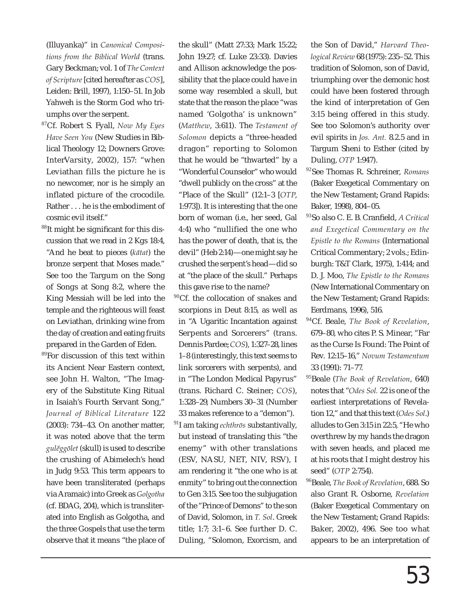(Illuyanka)" in *Canonical Compositions from the Biblical World* (trans. Gary Beckman; vol. 1 of *The Context of Scripture* [cited hereafter as *COS*], Leiden: Brill, 1997), 1:150–51. In Job Yahweh is the Storm God who triumphs over the serpent.

- <sup>87</sup>Cf. Robert S. Fyall, *Now My Eyes Have Seen You* (New Studies in Biblical Theology 12; Downers Grove: InterVarsity, 2002), 157: "when Leviathan fills the picture he is no newcomer, nor is he simply an inflated picture of the crocodile. Rather . . . he is the embodiment of cosmic evil itself."
- $88$ It might be significant for this discussion that we read in 2 Kgs 18:4, "And he beat to pieces (*kātat*) the bronze serpent that Moses made." See too the Targum on the Song of Songs at Song 8:2, where the King Messiah will be led into the temple and the righteous will feast on Leviathan, drinking wine from the day of creation and eating fruits prepared in the Garden of Eden.
- <sup>89</sup>For discussion of this text within its Ancient Near Eastern context, see John H. Walton, "The Imagery of the Substitute King Ritual in Isaiah's Fourth Servant Song," *Journal of Biblical Literature* 122 (2003): 734–43. On another matter, it was noted above that the term *gulĕggōlet* (skull) is used to describe the crushing of Abimelech's head in Judg 9:53. This term appears to have been transliterated (perhaps via Aramaic) into Greek as *Golgotha* (cf. BDAG, 204), which is transliterated into English as Golgotha, and the three Gospels that use the term observe that it means "the place of

the skull" (Matt 27:33; Mark 15:22; John 19:27; cf. Luke 23:33). Davies and Allison acknowledge the possibility that the place could have in some way resembled a skull, but state that the reason the place "was named 'Golgotha' is unknown" (*Matthew*, 3:611). The *Testament of Solomon* depicts a "three-headed dragon" reporting to Solomon that he would be "thwarted" by a "Wonderful Counselor" who would "dwell publicly on the cross" at the "Place of the Skull" (12:1–3 [*OTP*, 1:973]). It is interesting that the one born of woman (i.e., her seed, Gal 4:4) who "nullified the one who has the power of death, that is, the devil" (Heb 2:14)—one might say he crushed the serpent's head—did so at "the place of the skull." Perhaps this gave rise to the name?

- <sup>90</sup>Cf. the collocation of snakes and scorpions in Deut 8:15, as well as in "A Ugaritic Incantation against Serpents and Sorcerers" (trans. Dennis Pardee; *COS*), 1:327–28, lines 1–8 (interestingly, this text seems to link sorcerers with serpents), and in "The London Medical Papyrus" (trans. Richard C. Steiner; *COS*), 1:328–29, Numbers 30–31 (Number 33 makes reference to a "demon"). <sup>91</sup>I am taking *echthrōs* substantivally, but instead of translating this "the enemy" with other translations (ESV, NASU, NET, NIV, RSV), I am rendering it "the one who is at
- enmity" to bring out the connection to Gen 3:15. See too the subjugation of the "Prince of Demons" to the son of David, Solomon, in *T. Sol*. Greek title; 1:7; 3:1–6. See further D. C. Duling, "Solomon, Exorcism, and

the Son of David," *Harvard Theological Review* 68 (1975): 235–52. This tradition of Solomon, son of David, triumphing over the demonic host could have been fostered through the kind of interpretation of Gen 3:15 being offered in this study. See too Solomon's authority over evil spirits in *Jos. Ant.* 8.2.5 and in Targum Sheni to Esther (cited by Duling, *OTP* 1:947).

- <sup>92</sup>See Thomas R. Schreiner, *Romans* (Baker Exegetical Commentary on the New Testament; Grand Rapids: Baker, 1998), 804–05.
- <sup>93</sup>So also C. E. B. Cranfield, *A Critical and Exegetical Commentary on the Epistle to the Romans* (International Critical Commentary; 2 vols.; Edinburgh: T&T Clark, 1975), 1:414; and D. J. Moo, *The Epistle to the Romans* (New International Commentary on the New Testament; Grand Rapids: Eerdmans, 1996), 516.
- <sup>94</sup>Cf. Beale, *The Book of Revelation*, 679–80, who cites P. S. Minear, "Far as the Curse Is Found: The Point of Rev. 12:15–16," *Novum Testamentum* 33 (1991): 71–77.
- <sup>95</sup>Beale (*The Book of Revelation*, 640) notes that "*Odes Sol.* 22 is one of the earliest interpretations of Revelation 12," and that this text (*Odes Sol*.) alludes to Gen 3:15 in 22:5, "He who overthrew by my hands the dragon with seven heads, and placed me at his roots that I might destroy his seed" (*OTP* 2:754).
- <sup>96</sup>Beale, *The Book of Revelation*, 688. So also Grant R. Osborne, *Revelation* (Baker Exegetical Commentary on the New Testament; Grand Rapids: Baker, 2002), 496. See too what appears to be an interpretation of